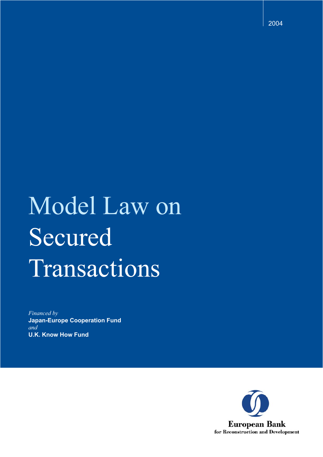2004

# Model Law on Secured Transactions

*Financed by* **Japan-Europe Cooperation Fund** *and* **U.K. Know How Fund**

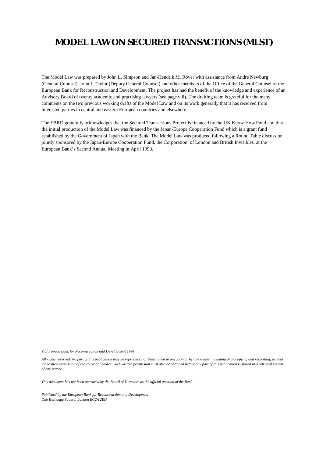## **MODEL LAW ON SECURED TRANSACTIONS (MLST)**

The Model Law was prepared by John L. Simpson and Jan-Hendrik M. Röver with assistance from Andre Newburg (General Counsel), John L Taylor (Deputy General Counsel) and other members of the Office of the General Counsel of the European Bank for Reconstruction and Development. The project has had the benefit of the knowledge and experience of an Advisory Board of twenty academic and practising lawyers (see page viii). The drafting team is grateful for the many comments on the two previous working drafts of the Model Law and on its work generally that it has received from interested parties in central and eastern European countries and elsewhere.

The EBRD gratefully acknowledges that the Secured Transactions Project is financed by the UK Know-How Fund and that the initial production of the Model Law was financed by the Japan-Europe Cooperation Fund which is a grant fund established by the Government of Japan with the Bank. The Model Law was produced following a Round Table discussion jointly sponsored by the Japan-Europe Cooperation Fund, the Corporation of London and British Invisibles, at the European Bank's Second Annual Meeting in April 1993.

*© European Bank for Reconstruction and Development 1994*

*All rights reserved. No part of this publication may be reproduced or transmitted in any form or by any means, including photocopying and recording, without the written permission of the copyright holder. Such written permission must also be obtained before any part of this publication is stored in a retrieval system of any nature.*

*This document has not been approved by the Board of Directors as the official position of the Bank.*

*Published by the European Bank for Reconstruction and Development One Exchange Square, London EC2A 2EH*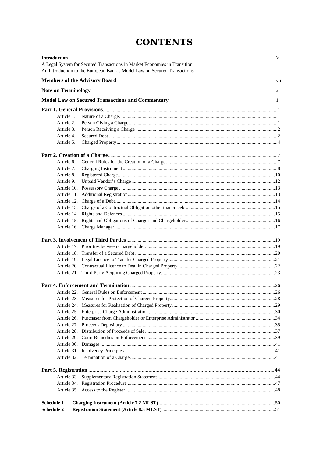# **CONTENTS**

| <b>Introduction</b>        | A Legal System for Secured Transactions in Market Economies in Transition | V    |
|----------------------------|---------------------------------------------------------------------------|------|
|                            | An Introduction to the European Bank's Model Law on Secured Transactions  |      |
|                            | <b>Members of the Advisory Board</b>                                      | viii |
| <b>Note on Terminology</b> |                                                                           | X    |
|                            | <b>Model Law on Secured Transactions and Commentary</b>                   | 1    |
|                            |                                                                           |      |
| Article 1.                 |                                                                           |      |
| Article 2.                 |                                                                           |      |
| Article 3.                 |                                                                           |      |
| Article 4.                 |                                                                           |      |
| Article 5.                 |                                                                           |      |
|                            |                                                                           |      |
| Article 6.                 |                                                                           |      |
| Article 7.                 |                                                                           |      |
| Article 8.                 |                                                                           |      |
| Article 9.                 |                                                                           |      |
|                            |                                                                           |      |
|                            |                                                                           |      |
|                            |                                                                           |      |
|                            |                                                                           |      |
|                            |                                                                           |      |
|                            |                                                                           |      |
|                            |                                                                           |      |
|                            |                                                                           |      |
|                            |                                                                           |      |
|                            |                                                                           |      |
|                            |                                                                           |      |
|                            |                                                                           |      |
|                            |                                                                           |      |
|                            |                                                                           |      |
|                            |                                                                           |      |
|                            |                                                                           |      |
|                            |                                                                           |      |
|                            |                                                                           |      |
|                            |                                                                           |      |
|                            |                                                                           |      |
|                            |                                                                           |      |
|                            |                                                                           |      |
|                            |                                                                           |      |
|                            |                                                                           |      |
|                            |                                                                           |      |
|                            |                                                                           |      |
|                            |                                                                           |      |
|                            |                                                                           |      |
|                            |                                                                           |      |
| Schedule 1                 |                                                                           |      |
| <b>Schedule 2</b>          |                                                                           |      |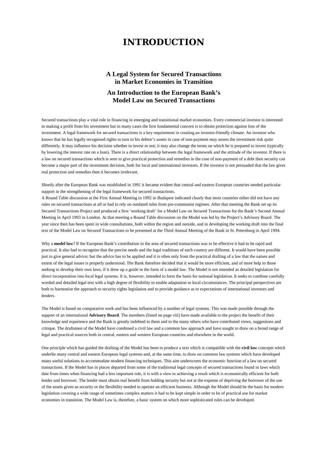## **INTRODUCTION**

## **A Legal System for Secured Transactions in Market Economies in Transition An Introduction to the European Bank's Model Law on Secured Transactions**

Secured transactions play a vital role in financing in emerging and transitional market economies. Every commercial investor is interested in making a profit from his investment but in many cases the first fundamental concern is to obtain protection against loss of the investment. A legal framework for secured transactions is a key requirement in creating an investor-friendly climate. An investor who knows that he has legally recognised rights to turn to his debtor's assets in case of non-payment may assess the investment risk quite differently. It may influence his decision whether to invest or not; it may also change the terms on which he is prepared to invest (typically by lowering the interest rate on a loan). There is a direct relationship between the legal framework and the attitude of the investor. If there is a law on secured transactions which is seen to give practical protection and remedies in the case of non-payment of a debt then security can become a major part of the investment decision, both for local and international investors. If the investor is not persuaded that the law gives real protection and remedies then it becomes irrelevant.

Shortly after the European Bank was established in 1991 it became evident that central and eastern European countries needed particular support in the strengthening of the legal framework for secured transactions.

A Round Table discussion at the First Annual Meeting in 1992 in Budapest indicated clearly that most countries either did not have any rules on secured transactions at all or had to rely on outdated rules from pre-communist regimes. After that meeting the Bank set up its Secured Transactions Project and produced a first 'working draft' for a Model Law on Secured Transactions for the Bank's Second Annual Meeting in April 1993 in London. At that meeting a Round Table discussion on the Model was led by the Project's Advisory Board. The year since then has been spent in wide consultations, both within the region and outside, and in developing the working draft into the final text of the Model Law on Secured Transactions to be presented at the Third Annual Meeting of the Bank in St. Petersburg in April 1994.

Why a **model law**? If the European Bank's contribution in the area of secured transactions was to be effective it had to be rapid and practical. It also had to recognise that the precise needs and the legal traditions of each country are different. It would have been possible just to give general advice; but the advice has to be applied and it is often only from the practical drafting of a law that the nature and extent of the legal issues is properly understood. The Bank therefore decided that it would be more efficient, and of more help to those seeking to develop their own laws, if it drew up a guide in the form of a model law. The Model is not intended as detailed legislation for direct incorporation into local legal systems. It is, however, intended to form the basis for national legislation. It seeks to combine carefully worded and detailed legal text with a high degree of flexibility to enable adaptation to local circumstances. The principal perspectives are both to harmonise the approach to security rights legislation and to provide guidance as to expectations of international investors and lenders.

The Model is based on comparative work and has been influenced by a number of legal systems. This was made possible through the support of an international **Advisory Board**. The members (listed on page viii) have made available to the project the benefit of their knowledge and experience and the Bank is greatly indebted to them and to the many others who have contributed views, suggestions and critique. The draftsmen of the Model have combined a civil law and a common law approach and have sought to draw on a broad range of legal and practical sources both in central, eastern and western European countries and elsewhere in the world.

One principle which has guided the drafting of the Model has been to produce a text which is compatible with the **civil law** concepts which underlie many central and eastern European legal systems and, at the same time, to draw on common law systems which have developed many useful solutions to accommodate modern financing techniques. This aim underscores the economic function of a law on secured transactions. If the Model has in places departed from some of the traditional legal concepts of secured transactions found in laws which date from times when financing had a less important role, it is with a view to achieving a result which is economically efficient for both lender and borrower. The lender must obtain real benefit from holding security but not at the expense of depriving the borrower of the use of the assets given as security or the flexibility needed to operate an efficient business. Although the Model should be the basis for modern legislation covering a wide range of sometimes complex matters it had to be kept simple in order to be of practical use for market economies in transition. The Model Law is, therefore, a basic system on which more sophisticated rules can be developed.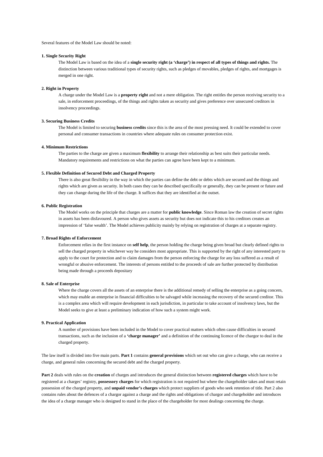Several features of the Model Law should be noted:

#### **1. Single Security Right**

The Model Law is based on the idea of a **single security right (a 'charge') in respect of all types of things and rights.** The distinction between various traditional types of security rights, such as pledges of movables, pledges of rights, and mortgages is merged in one right.

#### **2. Right in Property**

A charge under the Model Law is a **property right** and not a mere obligation. The right entitles the person receiving security to a sale, in enforcement proceedings, of the things and rights taken as security and gives preference over unsecured creditors in insolvency proceedings.

#### **3. Securing Business Credits**

The Model is limited to securing **business credits** since this is the area of the most pressing need. It could be extended to cover personal and consumer transactions in countries where adequate rules on consumer protection exist.

#### **4. Minimum Restrictions**

The parties to the charge are given a maximum **flexibility** to arrange their relationship as best suits their particular needs. Mandatory requirements and restrictions on what the parties can agree have been kept to a minimum.

#### **5. Flexible Definition of Secured Debt and Charged Property**

There is also great flexibility in the way in which the parties can define the debt or debts which are secured and the things and rights which are given as security. In both cases they can be described specifically or generally, they can be present or future and they can change during the life of the charge. It suffices that they are identified at the outset.

#### **6. Public Registration**

The Model works on the principle that charges are a matter for **public knowledge**. Since Roman law the creation of secret rights in assets has been disfavoured. A person who gives assets as security but does not indicate this to his creditors creates an impression of 'false wealth'. The Model achieves publicity mainly by relying on registration of charges at a separate registry.

#### **7. Broad Rights of Enforcement**

Enforcement relies in the first instance on **self help**, the person holding the charge being given broad but clearly defined rights to sell the charged property in whichever way he considers most appropriate. This is supported by the right of any interested party to apply to the court for protection and to claim damages from the person enforcing the charge for any loss suffered as a result of wrongful or abusive enforcement. The interests of persons entitled to the proceeds of sale are further protected by distribution being made through a proceeds depositary

#### **8. Sale of Enterprise**

Where the charge covers all the assets of an enterprise there is the additional remedy of selling the enterprise as a going concern, which may enable an enterprise in financial difficulties to be salvaged while increasing the recovery of the secured creditor. This is a complex area which will require development in each jurisdiction, in particular to take account of insolvency laws, but the Model seeks to give at least a preliminary indication of how such a system might work.

#### **9. Practical Application**

A number of provisions have been included in the Model to cover practical matters which often cause difficulties in secured transactions, such as the inclusion of a **'charge manager'** and a definition of the continuing licence of the chargor to deal in the charged property.

The law itself is divided into five main parts. **Part 1** contains **general provisions** which set out who can give a charge, who can receive a charge, and general rules concerning the secured debt and the charged property.

**Part 2** deals with rules on the **creation** of charges and introduces the general distinction between **registered charges** which have to be registered at a charges' registry, **possessory charges** for which registration is not required but where the chargeholder takes and must retain possession of the charged property, and **unpaid vendor's charges** which protect suppliers of goods who seek retention of title. Part 2 also contains rules about the defences of a chargor against a charge and the rights and obligations of chargor and chargeholder and introduces the idea of a charge manager who is designed to stand in the place of the chargeholder for most dealings concerning the charge.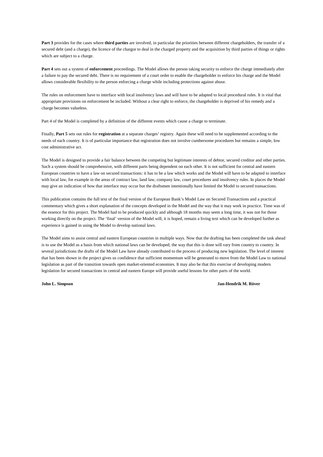**Part 3** provides for the cases where **third parties** are involved, in particular the priorities between different chargeholders, the transfer of a secured debt (and a charge), the licence of the chargor to deal in the charged property and the acquisition by third parties of things or rights which are subject to a charge.

**Part 4** sets out a system of **enforcement** proceedings. The Model allows the person taking security to enforce the charge immediately after a failure to pay the secured debt. There is no requirement of a court order to enable the chargeholder to enforce his charge and the Model allows considerable flexibility to the person enforcing a charge while including protections against abuse.

The rules on enforcement have to interface with local insolvency laws and will have to be adapted to local procedural rules. It is vital that appropriate provisions on enforcement be included. Without a clear right to enforce, the chargeholder is deprived of his remedy and a charge becomes valueless.

Part 4 of the Model is completed by a definition of the different events which cause a charge to terminate.

Finally, Part 5 sets out rules for registration at a separate charges' registry. Again these will need to be supplemented according to the needs of each country. It is of particular importance that registration does not involve cumbersome procedures but remains a simple, low cost administrative act.

The Model is designed to provide a fair balance between the competing but legitimate interests of debtor, secured creditor and other parties. Such a system should be comprehensive, with different parts being dependent on each other. It is not sufficient for central and eastern European countries to have a law on secured transactions: it has to be a law which works and the Model will have to be adapted to interface with local law, for example in the areas of contract law, land law, company law, court procedures and insolvency rules. In places the Model may give an indication of how that interface may occur but the draftsmen intentionally have limited the Model to secured transactions.

This publication contains the full text of the final version of the European Bank's Model Law on Secured Transactions and a practical commentary which gives a short explanation of the concepts developed in the Model and the way that it may work in practice. Time was of the essence for this project. The Model had to be produced quickly and although 18 months may seem a long time, it was not for those working directly on the project. The 'final' version of the Model will, it is hoped, remain a living text which can be developed further as experience is gained in using the Model to develop national laws.

The Model aims to assist central and eastern European countries in multiple ways. Now that the drafting has been completed the task ahead is to use the Model as a basis from which national laws can be developed; the way that this is done will vary from country to country. In several jurisdictions the drafts of the Model Law have already contributed to the process of producing new legislation. The level of interest that has been shown in the project gives us confidence that sufficient momentum will be generated to move from the Model Law to national legislation as part of the transition towards open market-oriented economies. It may also be that this exercise of developing modern legislation for secured transactions in central and eastern Europe will provide useful lessons for other parts of the world.

**John L. Simpson Jan-Hendrik M. Röver**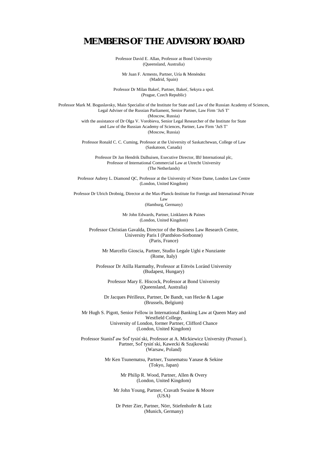## **MEMBERS OF THE ADVISORY BOARD**

Professor David E. Allan, Professor at Bond University (Queensland, Australia)

Mr Juan F. Armesto, Partner, Uría & Menéndez (Madrid, Spain)

Professor Dr Milan Bakes˘, Partner, Bakes˘, Sekyra a spol. (Prague, Czech Republic)

Professor Mark M. Boguslavsky, Main Specialist of the Institute for State and Law of the Russian Academy of Sciences, Legal Adviser of the Russian Parliament, Senior Partner, Law Firm 'JuS T' (Moscow, Russia) with the assistance of Dr Olga V. Vorobieva, Senior Legal Researcher of the Institute for State and Law of the Russian Academy of Sciences, Partner, Law Firm 'JuS T' (Moscow, Russia)

> Professor Ronald C. C. Cuming, Professor at the University of Saskatchewan, College of Law (Saskatoon, Canada)

Professor Dr Jan Hendrik Dalhuisen, Executive Director, IBJ International plc, Professor of International Commercial Law at Utrecht University (The Netherlands)

Professor Aubrey L. Diamond QC, Professor at the University of Notre Dame, London Law Centre (London, United Kingdom)

Professor Dr Ulrich Drobnig, Director at the Max-Planck-Institute for Foreign and International Private Law

(Hamburg, Germany)

Mr John Edwards, Partner, Linklaters & Paines (London, United Kingdom)

Professor Christian Gavalda, Director of the Business Law Research Centre, University Paris I (Panthéon-Sorbonne) (Paris, France)

Mr Marcello Gioscia, Partner, Studio Legale Ughi e Nunziante (Rome, Italy)

Professor Dr Atilla Harmathy, Professor at Eötvös Loránd University (Budapest, Hungary)

Professor Mary E. Hiscock, Professor at Bond University (Queensland, Australia)

Dr Jacques Périlleux, Partner, De Bandt, van Hecke & Lagae (Brussels, Belgium)

Mr Hugh S. Pigott, Senior Fellow in International Banking Law at Queen Mary and Westfield College, University of London, former Partner, Clifford Chance (London, United Kingdom)

Professor Stanisl<sup>\*</sup>aw Sol<sup>\*</sup>tysin´ski, Professor at A. Mickiewicz University (Poznan´), Partner, Sol<sup>\*</sup>tysin´ski, Kawecki & Szajkowski (Warsaw, Poland)

> Mr Ken Tsunematsu, Partner, Tsunematsu Yanase & Sekine (Tokyo, Japan)

> > Mr Philip R. Wood, Partner, Allen & Overy (London, United Kingdom)

Mr John Young, Partner, Cravath Swaine & Moore (USA)

Dr Peter Zier, Partner, Nörr, Stiefenhofer & Lutz (Munich, Germany)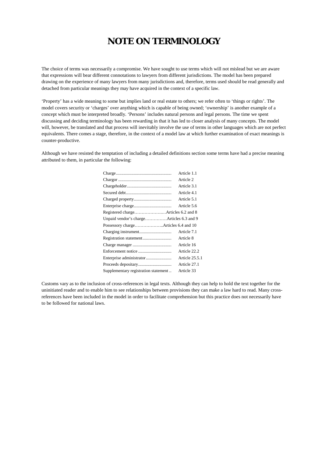## **NOTE ON TERMINOLOGY**

The choice of terms was necessarily a compromise. We have sought to use terms which will not mislead but we are aware that expressions will bear different connotations to lawyers from different jurisdictions. The model has been prepared drawing on the experience of many lawyers from many jurisdictions and, therefore, terms used should be read generally and detached from particular meanings they may have acquired in the context of a specific law.

'Property' has a wide meaning to some but implies land or real estate to others; we refer often to 'things or rights'. The model covers security or 'charges' over anything which is capable of being owned; 'ownership' is another example of a concept which must be interpreted broadly. 'Persons' includes natural persons and legal persons. The time we spent discussing and deciding terminology has been rewarding in that it has led to closer analysis of many concepts. The model will, however, be translated and that process will inevitably involve the use of terms in other languages which are not perfect equivalents. There comes a stage, therefore, in the context of a model law at which further examination of exact meanings is counter-productive.

Although we have resisted the temptation of including a detailed definitions section some terms have had a precise meaning attributed to them, in particular the following:

|                                      | Article 1.1    |
|--------------------------------------|----------------|
|                                      | Article 2      |
|                                      | Article 3.1    |
|                                      | Article 4.1    |
|                                      | Article 5.1    |
|                                      | Article 5.6    |
|                                      |                |
|                                      |                |
| Possessory chargeArticles 6.4 and 10 |                |
|                                      | Article 7.1    |
|                                      | Article 8      |
|                                      | Article 16     |
|                                      | Article 22.2   |
|                                      | Article 25.5.1 |
|                                      | Article 27.1   |
| Supplementary registration statement | Article 33     |

Customs vary as to the inclusion of cross-references in legal texts. Although they can help to hold the text together for the uninitiated reader and to enable him to see relationships between provisions they can make a law hard to read. Many crossreferences have been included in the model in order to facilitate comprehension but this practice does not necessarily have to be followed for national laws.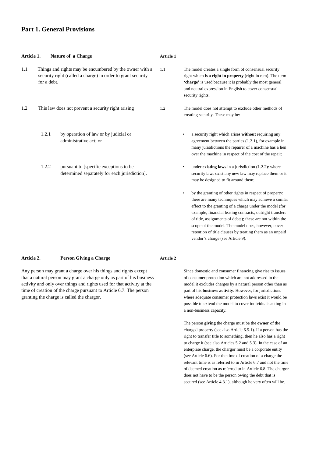#### **Part 1. General Provisions**

| Article 1. |             | Nature of a Charge                                                                                                     | Article 1 |                                                                                                                                                                                                                                                                                                                                                                                                                                                                         |
|------------|-------------|------------------------------------------------------------------------------------------------------------------------|-----------|-------------------------------------------------------------------------------------------------------------------------------------------------------------------------------------------------------------------------------------------------------------------------------------------------------------------------------------------------------------------------------------------------------------------------------------------------------------------------|
| 1.1        | for a debt. | Things and rights may be encumbered by the owner with a<br>security right (called a charge) in order to grant security | 1.1       | The model creates a single form of consensual security<br>right which is a right in property (right in rem). The term<br>'charge' is used because it is probably the most general<br>and neutral expression in English to cover consensual<br>security rights.                                                                                                                                                                                                          |
| 1.2        |             | This law does not prevent a security right arising                                                                     | 1.2       | The model does not attempt to exclude other methods of<br>creating security. These may be:                                                                                                                                                                                                                                                                                                                                                                              |
|            | 1.2.1       | by operation of law or by judicial or<br>administrative act; or                                                        |           | a security right which arises without requiring any<br>$\bullet$<br>agreement between the parties $(1.2.1)$ , for example in<br>many jurisdictions the repairer of a machine has a lien<br>over the machine in respect of the cost of the repair;                                                                                                                                                                                                                       |
|            | 1.2.2       | pursuant to [specific exceptions to be<br>determined separately for each jurisdiction].                                |           | under <b>existing laws</b> in a jurisdiction $(1.2.2)$ : where<br>$\bullet$<br>security laws exist any new law may replace them or it<br>may be designed to fit around them;                                                                                                                                                                                                                                                                                            |
|            |             |                                                                                                                        |           | by the granting of other rights in respect of property:<br>$\bullet$<br>there are many techniques which may achieve a similar<br>effect to the granting of a charge under the model (for<br>example, financial leasing contracts, outright transfers<br>of title, assignments of debts); these are not within the<br>scope of the model. The model does, however, cover<br>retention of title clauses by treating them as an unpaid<br>vendor's charge (see Article 9). |

#### **Article 2. Person Giving a Charge**

**Article 2**

Any person may grant a charge over his things and rights except that a natural person may grant a charge only as part of his business activity and only over things and rights used for that activity at the time of creation of the charge pursuant to Article 6.7. The person granting the charge is called the chargor.

Since domestic and consumer financing give rise to issues of consumer protection which are not addressed in the model it excludes charges by a natural person other than as part of his **business activity**. However, for jurisdictions where adequate consumer protection laws exist it would be possible to extend the model to cover individuals acting in a non-business capacity.

The person **giving** the charge must be the **owner** of the charged property (see also Article 6.5.1). If a person has the right to transfer title to something, then he also has a right to charge it (see also Articles 5.2 and 5.3). In the case of an enterprise charge, the chargor must be a corporate entity (see Article 6.6). For the time of creation of a charge the relevant time is as referred to in Article 6.7 and not the time of deemed creation as referred to in Article 6.8. The chargor does not have to be the person owing the debt that is secured (see Article 4.3.1), although he very often will be.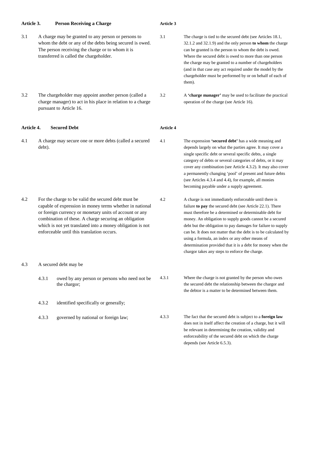| Article 3. |        | <b>Person Receiving a Charge</b>                                                                                                                                                                                                                                                                                                                | Article 3        |                                                                                                                                                                                                                                                                                                                                                                                                                                                                                                                                                   |  |  |
|------------|--------|-------------------------------------------------------------------------------------------------------------------------------------------------------------------------------------------------------------------------------------------------------------------------------------------------------------------------------------------------|------------------|---------------------------------------------------------------------------------------------------------------------------------------------------------------------------------------------------------------------------------------------------------------------------------------------------------------------------------------------------------------------------------------------------------------------------------------------------------------------------------------------------------------------------------------------------|--|--|
| 3.1        |        | A charge may be granted to any person or persons to<br>whom the debt or any of the debts being secured is owed.<br>The person receiving the charge or to whom it is<br>transferred is called the chargeholder.                                                                                                                                  | 3.1              | The charge is tied to the secured debt (see Articles 18.1,<br>32.1.2 and 32.1.9) and the only person to whom the charge<br>can be granted is the person to whom the debt is owed.<br>Where the secured debt is owed to more than one person<br>the charge may be granted to a number of chargeholders<br>(and in that case any act required under the model by the<br>chargeholder must be performed by or on behalf of each of<br>them).                                                                                                         |  |  |
| 3.2        |        | The chargeholder may appoint another person (called a<br>charge manager) to act in his place in relation to a charge<br>pursuant to Article 16.                                                                                                                                                                                                 | 3.2              | A 'charge manager' may be used to facilitate the practical<br>operation of the charge (see Article 16).                                                                                                                                                                                                                                                                                                                                                                                                                                           |  |  |
| Article 4. |        | <b>Secured Debt</b>                                                                                                                                                                                                                                                                                                                             | <b>Article 4</b> |                                                                                                                                                                                                                                                                                                                                                                                                                                                                                                                                                   |  |  |
| 4.1        | debt). | A charge may secure one or more debts (called a secured                                                                                                                                                                                                                                                                                         | 4.1              | The expression 'secured debt' has a wide meaning and<br>depends largely on what the parties agree. It may cover a<br>single specific debt or several specific debts, a single<br>category of debts or several categories of debts, or it may<br>cover any combination (see Article 4.3.2). It may also cover<br>a permanently changing 'pool' of present and future debts<br>(see Articles 4.3.4 and 4.4), for example, all monies<br>becoming payable under a supply agreement.                                                                  |  |  |
| 4.2        |        | For the charge to be valid the secured debt must be<br>capable of expression in money terms whether in national<br>or foreign currency or monetary units of account or any<br>combination of these. A charge securing an obligation<br>which is not yet translated into a money obligation is not<br>enforceable until this translation occurs. | 4.2              | A charge is not immediately enforceable until there is<br>failure to pay the secured debt (see Article 22.1). There<br>must therefore be a determined or determinable debt for<br>money. An obligation to supply goods cannot be a secured<br>debt but the obligation to pay damages for failure to supply<br>can be. It does not matter that the debt is to be calculated by<br>using a formula, an index or any other means of<br>determination provided that it is a debt for money when the<br>chargor takes any steps to enforce the charge. |  |  |
| 4.3        |        | A secured debt may be                                                                                                                                                                                                                                                                                                                           |                  |                                                                                                                                                                                                                                                                                                                                                                                                                                                                                                                                                   |  |  |
|            | 4.3.1  | owed by any person or persons who need not be<br>the chargor;                                                                                                                                                                                                                                                                                   | 4.3.1            | Where the charge is not granted by the person who owes<br>the secured debt the relationship between the chargor and<br>the debtor is a matter to be determined between them.                                                                                                                                                                                                                                                                                                                                                                      |  |  |
|            | 4.3.2  | identified specifically or generally;                                                                                                                                                                                                                                                                                                           |                  |                                                                                                                                                                                                                                                                                                                                                                                                                                                                                                                                                   |  |  |
|            | 4.3.3  | governed by national or foreign law;                                                                                                                                                                                                                                                                                                            | 4.3.3            | The fact that the secured debt is subject to a foreign law<br>does not in itself affect the creation of a charge, but it will<br>be relevant in determining the creation, validity and<br>enforceability of the secured debt on which the charge<br>depends (see Article 6.5.3).                                                                                                                                                                                                                                                                  |  |  |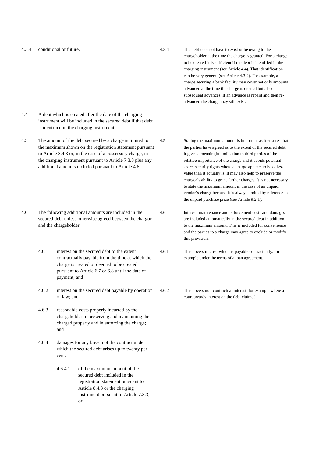4.3.4 conditional or future.

4.3.4 The debt does not have to exist or be owing to the chargeholder at the time the charge is granted. For a charge to be created it is sufficient if the debt is identified in the charging instrument (see Article 4.4). That identification can be very general (see Article 4.3.2). For example, a charge securing a bank facility may cover not only amounts advanced at the time the charge is created but also subsequent advances. If an advance is repaid and then readvanced the charge may still exist.

- 4.4 A debt which is created after the date of the charging instrument will be included in the secured debt if that debt is identified in the charging instrument.
- 4.5 The amount of the debt secured by a charge is limited to the maximum shown on the registration statement pursuant to Article 8.4.3 or, in the case of a possessory charge, in the charging instrument pursuant to Article 7.3.3 plus any additional amounts included pursuant to Article 4.6.
- 4.6 The following additional amounts are included in the secured debt unless otherwise agreed between the chargor and the chargeholder
	- 4.6.1 interest on the secured debt to the extent contractually payable from the time at which the charge is created or deemed to be created pursuant to Article 6.7 or 6.8 until the date of payment; and
	- 4.6.2 interest on the secured debt payable by operation of law; and
	- 4.6.3 reasonable costs properly incurred by the chargeholder in preserving and maintaining the charged property and in enforcing the charge; and
	- 4.6.4 damages for any breach of the contract under which the secured debt arises up to twenty per cent.
		- 4.6.4.1 of the maximum amount of the secured debt included in the registration statement pursuant to Article 8.4.3 or the charging instrument pursuant to Article 7.3.3; or

4.5 Stating the maximum amount is important as it ensures that the parties have agreed as to the extent of the secured debt, it gives a meaningful indication to third parties of the relative importance of the charge and it avoids potential secret security rights where a charge appears to be of less value than it actually is. It may also help to preserve the chargor's ability to grant further charges. It is not necessary to state the maximum amount in the case of an unpaid vendor's charge because it is always limited by reference to the unpaid purchase price (see Article 9.2.1).

4.6 Interest, maintenance and enforcement costs and damages are included automatically in the secured debt in addition to the maximum amount. This is included for convenience and the parties to a charge may agree to exclude or modify this provision.

- 4.6.1 This covers interest which is payable contractually, for example under the terms of a loan agreement.
- 4.6.2 This covers non-contractual interest, for example where a court awards interest on the debt claimed.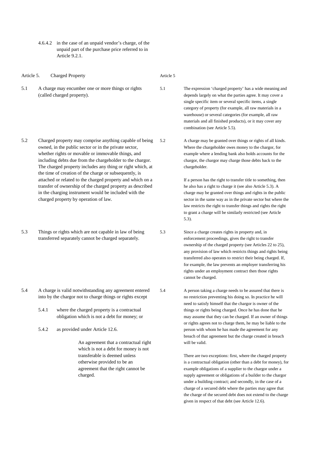4.6.4.2 in the case of an unpaid vendor's charge, of the unpaid part of the purchase price referred to in Article 9.2.1.

| Article 5. |                                                                                                                | <b>Charged Property</b>                                                                                                                                                                                                                                                                                                                                                                                                                                                                                                                                                                   | Article 5 |                                                                                                                                                                                                                                                                                                                                                                                                                                                                                                                                                                                                                                                                           |
|------------|----------------------------------------------------------------------------------------------------------------|-------------------------------------------------------------------------------------------------------------------------------------------------------------------------------------------------------------------------------------------------------------------------------------------------------------------------------------------------------------------------------------------------------------------------------------------------------------------------------------------------------------------------------------------------------------------------------------------|-----------|---------------------------------------------------------------------------------------------------------------------------------------------------------------------------------------------------------------------------------------------------------------------------------------------------------------------------------------------------------------------------------------------------------------------------------------------------------------------------------------------------------------------------------------------------------------------------------------------------------------------------------------------------------------------------|
| 5.1        |                                                                                                                | A charge may encumber one or more things or rights<br>(called charged property).                                                                                                                                                                                                                                                                                                                                                                                                                                                                                                          | 5.1       | The expression 'charged property' has a wide meaning and<br>depends largely on what the parties agree. It may cover a<br>single specific item or several specific items, a single<br>category of property (for example, all raw materials in a<br>warehouse) or several categories (for example, all raw<br>materials and all finished products), or it may cover any<br>combination (see Article 5.5).                                                                                                                                                                                                                                                                   |
| 5.2        |                                                                                                                | Charged property may comprise anything capable of being<br>owned, in the public sector or in the private sector,<br>whether rights or movable or immovable things, and<br>including debts due from the chargeholder to the chargor.<br>The charged property includes any thing or right which, at<br>the time of creation of the charge or subsequently, is<br>attached or related to the charged property and which on a<br>transfer of ownership of the charged property as described<br>in the charging instrument would be included with the<br>charged property by operation of law. | 5.2       | A charge may be granted over things or rights of all kinds.<br>Where the chargeholder owes money to the chargor, for<br>example where a lending bank also holds accounts for the<br>chargor, the chargor may charge those debts back to the<br>chargeholder.<br>If a person has the right to transfer title to something, then<br>he also has a right to charge it (see also Article 5.3). A<br>charge may be granted over things and rights in the public<br>sector in the same way as in the private sector but where the<br>law restricts the right to transfer things and rights the right<br>to grant a charge will be similarly restricted (see Article<br>$5.3$ ). |
| 5.3        | Things or rights which are not capable in law of being<br>transferred separately cannot be charged separately. |                                                                                                                                                                                                                                                                                                                                                                                                                                                                                                                                                                                           | 5.3       | Since a charge creates rights in property and, in<br>enforcement proceedings, gives the right to transfer<br>ownership of the charged property (see Articles 22 to 25),<br>any provision of law which restricts things and rights being<br>transferred also operates to restrict their being charged. If,<br>for example, the law prevents an employer transferring his<br>rights under an employment contract then those rights<br>cannot be charged.                                                                                                                                                                                                                    |
| 5.4        | 5.4.1                                                                                                          | A charge is valid notwithstanding any agreement entered<br>into by the chargor not to charge things or rights except<br>where the charged property is a contractual<br>obligation which is not a debt for money; or                                                                                                                                                                                                                                                                                                                                                                       | 5.4       | A person taking a charge needs to be assured that there is<br>no restriction preventing his doing so. In practice he will<br>need to satisfy himself that the chargor is owner of the<br>things or rights being charged. Once he has done that he<br>may assume that they can be charged. If an owner of things<br>or rights agrees not to charge them, he may be liable to the                                                                                                                                                                                                                                                                                           |

5.4.2 as provided under Article 12.6.

An agreement that a contractual right which is not a debt for money is not transferable is deemed unless otherwise provided to be an agreement that the right cannot be charged.

There are two exceptions: first, where the charged property is a contractual obligation (other than a debt for money), for example obligations of a supplier to the chargor under a supply agreement or obligations of a builder to the chargor under a building contract; and secondly, in the case of a charge of a secured debt where the parties may agree that the charge of the secured debt does not extend to the charge given in respect of that debt (see Article 12.6).

person with whom he has made the agreement for any breach of that agreement but the charge created in breach

will be valid.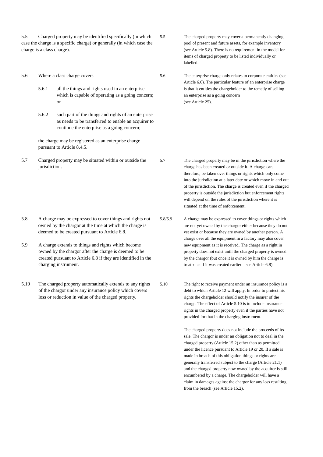5.5 Charged property may be identified specifically (in which case the charge is a specific charge) or generally (in which case the charge is a class charge).

5.6 Where a class charge covers

- 5.6.1 all the things and rights used in an enterprise which is capable of operating as a going concern; or
- 5.6.2 such part of the things and rights of an enterprise as needs to be transferred to enable an acquirer to continue the enterprise as a going concern;

the charge may be registered as an enterprise charge pursuant to Article 8.4.5.

5.7 Charged property may be situated within or outside the jurisdiction.

- 5.8 A charge may be expressed to cover things and rights not owned by the chargor at the time at which the charge is deemed to be created pursuant to Article 6.8.
- 5.9 A charge extends to things and rights which become owned by the chargor after the charge is deemed to be created pursuant to Article 6.8 if they are identified in the charging instrument.
- 5.10 The charged property automatically extends to any rights of the chargor under any insurance policy which covers loss or reduction in value of the charged property.

5.5 The charged property may cover a permanently changing pool of present and future assets, for example inventory (see Article 5.8). There is no requirement in the model for items of charged property to be listed individually or labelled.

5.6 The enterprise charge only relates to corporate entities (see Article 6.6). The particular feature of an enterprise charge is that it entitles the chargeholder to the remedy of selling an enterprise as a going concern (see Article 25).

5.7 The charged property may be in the jurisdiction where the charge has been created or outside it. A charge can, therefore, be taken over things or rights which only come into the jurisdiction at a later date or which move in and out of the jurisdiction. The charge is created even if the charged property is outside the jurisdiction but enforcement rights will depend on the rules of the jurisdiction where it is situated at the time of enforcement.

5.8/5.9 A charge may be expressed to cover things or rights which are not yet owned by the chargor either because they do not yet exist or because they are owned by another person. A charge over all the equipment in a factory may also cover new equipment as it is received. The charge as a right in property does not exist until the charged property is owned by the chargor (but once it is owned by him the charge is treated as if it was created earlier – see Article 6.8).

5.10 The right to receive payment under an insurance policy is a debt to which Article 12 will apply. In order to protect his rights the chargeholder should notify the insurer of the charge. The effect of Article 5.10 is to include insurance rights in the charged property even if the parties have not provided for that in the charging instrument.

> The charged property does not include the proceeds of its sale. The chargor is under an obligation not to deal in the charged property (Article 15.2) other than as permitted under the licence pursuant to Article 19 or 20. If a sale is made in breach of this obligation things or rights are generally transferred subject to the charge (Article 21.1) and the charged property now owned by the acquirer is still encumbered by a charge. The chargeholder will have a claim in damages against the chargor for any loss resulting from the breach (see Article 15.2).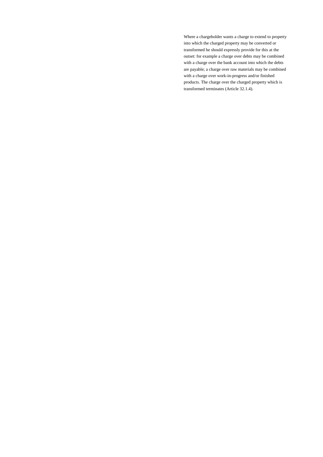Where a chargeholder wants a charge to extend to property into which the charged property may be converted or transformed he should expressly provide for this at the outset: for example a charge over debts may be combined with a charge over the bank account into which the debts are payable; a charge over raw materials may be combined with a charge over work-in-progress and/or finished products. The charge over the charged property which is transformed terminates (Article 32.1.4).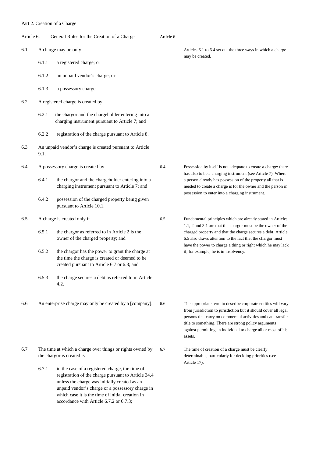|            |       | T art 2. Creation of a Charge                                                                                                                     |           |                                                                                                                                                                                                                                                                                                                                       |
|------------|-------|---------------------------------------------------------------------------------------------------------------------------------------------------|-----------|---------------------------------------------------------------------------------------------------------------------------------------------------------------------------------------------------------------------------------------------------------------------------------------------------------------------------------------|
| Article 6. |       | General Rules for the Creation of a Charge                                                                                                        | Article 6 |                                                                                                                                                                                                                                                                                                                                       |
| 6.1        |       | A charge may be only                                                                                                                              |           | Articles 6.1 to 6.4 set out the three ways in which a charge                                                                                                                                                                                                                                                                          |
|            | 6.1.1 | a registered charge; or                                                                                                                           |           | may be created.                                                                                                                                                                                                                                                                                                                       |
|            | 6.1.2 | an unpaid vendor's charge; or                                                                                                                     |           |                                                                                                                                                                                                                                                                                                                                       |
|            | 6.1.3 | a possessory charge.                                                                                                                              |           |                                                                                                                                                                                                                                                                                                                                       |
| 6.2        |       | A registered charge is created by                                                                                                                 |           |                                                                                                                                                                                                                                                                                                                                       |
|            | 6.2.1 | the chargor and the chargeholder entering into a<br>charging instrument pursuant to Article 7; and                                                |           |                                                                                                                                                                                                                                                                                                                                       |
|            | 6.2.2 | registration of the charge pursuant to Article 8.                                                                                                 |           |                                                                                                                                                                                                                                                                                                                                       |
| 6.3        | 9.1.  | An unpaid vendor's charge is created pursuant to Article                                                                                          |           |                                                                                                                                                                                                                                                                                                                                       |
| 6.4        |       | A possessory charge is created by                                                                                                                 | 6.4       | Possession by itself is not adequate to create a charge: there<br>has also to be a charging instrument (see Article 7). Where                                                                                                                                                                                                         |
|            | 6.4.1 | the chargor and the chargeholder entering into a<br>charging instrument pursuant to Article 7; and                                                |           | a person already has possession of the property all that is<br>needed to create a charge is for the owner and the person in<br>possession to enter into a charging instrument.                                                                                                                                                        |
|            | 6.4.2 | possession of the charged property being given<br>pursuant to Article 10.1.                                                                       |           |                                                                                                                                                                                                                                                                                                                                       |
| 6.5        |       | A charge is created only if                                                                                                                       | 6.5       | Fundamental principles which are already stated in Articles<br>1.1, 2 and 3.1 are that the chargor must be the owner of the                                                                                                                                                                                                           |
|            | 6.5.1 | the chargor as referred to in Article 2 is the<br>owner of the charged property; and                                                              |           | charged property and that the charge secures a debt. Article<br>6.5 also draws attention to the fact that the chargor must<br>have the power to charge a thing or right which he may lack                                                                                                                                             |
|            | 6.5.2 | the chargor has the power to grant the charge at<br>the time the charge is created or deemed to be<br>created pursuant to Article 6.7 or 6.8; and |           | if, for example, he is in insolvency.                                                                                                                                                                                                                                                                                                 |
|            | 6.5.3 | the charge secures a debt as referred to in Article<br>4.2.                                                                                       |           |                                                                                                                                                                                                                                                                                                                                       |
| 6.6        |       | An enterprise charge may only be created by a [company].                                                                                          | 6.6       | The appropriate term to describe corporate entities will vary<br>from jurisdiction to jurisdiction but it should cover all legal<br>persons that carry on commercial activities and can transfer<br>title to something. There are strong policy arguments<br>against permitting an individual to charge all or most of his<br>assets. |
| 6.7        |       | The time at which a charge over things or rights owned by<br>the chargor is created is                                                            | 6.7       | The time of creation of a charge must be clearly<br>determinable, particularly for deciding priorities (see<br>Article 17).                                                                                                                                                                                                           |
|            | 6.7.1 | in the case of a registered charge, the time of<br>registration of the charge pursuant to Article 34.4                                            |           |                                                                                                                                                                                                                                                                                                                                       |

unless the charge was initially created as an unpaid vendor's charge or a possessory charge in which case it is the time of initial creation in accordance with Article 6.7.2 or 6.7.3;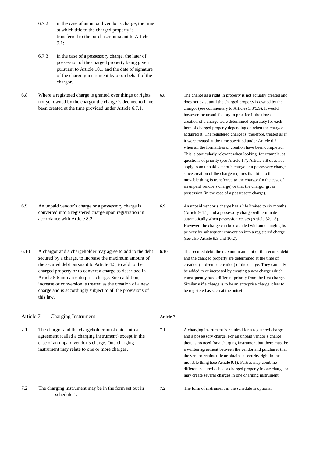- 6.7.2 in the case of an unpaid vendor's charge, the time at which title to the charged property is transferred to the purchaser pursuant to Article  $9.1:$
- 6.7.3 in the case of a possessory charge, the later of possession of the charged property being given pursuant to Article 10.1 and the date of signature of the charging instrument by or on behalf of the chargor.
- 6.8 Where a registered charge is granted over things or rights not yet owned by the chargor the charge is deemed to have been created at the time provided under Article 6.7.1.

6.8 The charge as a right in property is not actually created and does not exist until the charged property is owned by the chargor (see commentary to Articles 5.8/5.9). It would, however, be unsatisfactory in practice if the time of creation of a charge were determined separately for each item of charged property depending on when the chargor acquired it. The registered charge is, therefore, treated as if it were created at the time specified under Article 6.7.1 when all the formalities of creation have been completed. This is particularly relevant when looking, for example, at questions of priority (see Article 17). Article 6.8 does not apply to an unpaid vendor's charge or a possessory charge since creation of the charge requires that title to the movable thing is transferred to the chargor (in the case of an unpaid vendor's charge) or that the chargor gives possession (in the case of a possessory charge).

6.9 An unpaid vendor's charge or a possessory charge is converted into a registered charge upon registration in accordance with Article 8.2. 6.9 An unpaid vendor's charge has a life limited to six months (Article 9.4.1) and a possessory charge will terminate automatically when possession ceases (Article 32.1.8). However, the charge can be extended without changing its priority by subsequent conversion into a registered charge

Article 7

6.10 A chargor and a chargeholder may agree to add to the debt secured by a charge, to increase the maximum amount of the secured debt pursuant to Article 4.5, to add to the charged property or to convert a charge as described in Article 5.6 into an enterprise charge. Such addition, increase or conversion is treated as the creation of a new charge and is accordingly subject to all the provisions of this law.

Article 7. Charging Instrument

- 7.1 The chargor and the chargeholder must enter into an agreement (called a charging instrument) except in the case of an unpaid vendor's charge. One charging instrument may relate to one or more charges.
- 7.2 The charging instrument may be in the form set out in schedule 1.

6.10 The secured debt, the maximum amount of the secured debt and the charged property are determined at the time of creation (or deemed creation) of the charge. They can only be added to or increased by creating a new charge which consequently has a different priority from the first charge. Similarly if a charge is to be an enterprise charge it has to be registered as such at the outset.

(see also Article 9.3 and 10.2).

7.1 A charging instrument is required for a registered charge and a possessory charge. For an unpaid vendor's charge there is no need for a charging instrument but there must be a written agreement between the vendor and purchaser that the vendor retains title or obtains a security right in the movable thing (see Article 9.1). Parties may combine different secured debts or charged property in one charge or may create several charges in one charging instrument.

7.2 The form of instrument in the schedule is optional.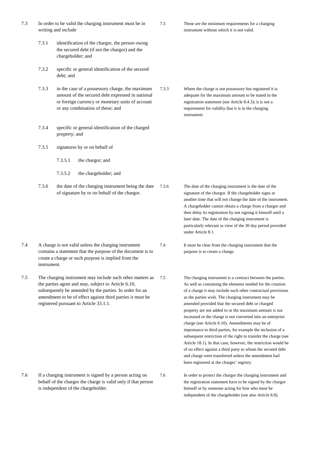- 7.3 In order to be valid the charging instrument must be in writing and include 7.3.1 identification of the chargor, the person owing the secured debt (if not the chargor) and the chargeholder; and 7.3.2 specific or general identification of the secured debt; and 7.3.3 in the case of a possessory charge, the maximum amount of the secured debt expressed in national or foreign currency or monetary units of account or any combination of these; and 7.3.4 specific or general identification of the charged property; and 7.3.5 signatures by or on behalf of 7.3.5.1 the chargor; and 7.3.5.2 the chargeholder; and 7.3.6 the date of the charging instrument being the date of signature by or on behalf of the chargor. 7.4 A charge is not valid unless the charging instrument contains a statement that the purpose of the document is to create a charge or such purpose is implied from the instrument. 7.5 The charging instrument may include such other matters as 7.5 the parties agree and may, subject to Article 6.10, subsequently be amended by the parties. In order for an amendment to be of effect against third parties it must be registered pursuant to Article 33.1.1. 7.3 These are the minimum requirements for a charging instrument without which it is not valid. 7.3.3 Where the charge is not possessory but registered it is adequate for the maximum amount to be stated in the registration statement (see Article 8.4.3); it is not a requirement for validity that it is in the charging instrument. 7.3.6 The date of the charging instrument is the date of the signature of the chargor. If the chargeholder signs at another time that will not change the date of the instrument. A chargeholder cannot obtain a charge from a chargor and then delay its registration by not signing it himself until a later date. The date of the charging instrument is particularly relevant in view of the 30 day period provided under Article 8.1. 7.4 It must be clear from the charging instrument that the purpose is to create a charge. The charging instrument is a contract between the parties. As well as containing the elements needed for the creation of a charge it may include such other contractual provisions as the parties wish. The charging instrument may be amended provided that the secured debt or charged property are not added to or the maximum amount is not increased or the charge is not converted into an enterprise charge (see Article 6.10). Amendments may be of importance to third parties, for example the inclusion of a subsequent restriction of the right to transfer the charge (see Article 18.1). In that case, however, the restriction would be
- 7.6 If a charging instrument is signed by a person acting on behalf of the chargor the charge is valid only if that person is independent of the chargeholder.

7.6 In order to protect the chargor the charging instrument and the registration statement have to be signed by the chargor himself or by someone acting for him who must be independent of the chargeholder (see also Article 8.8).

of no effect against a third party to whom the secured debt and charge were transferred unless the amendment had

been registered at the charges' registry.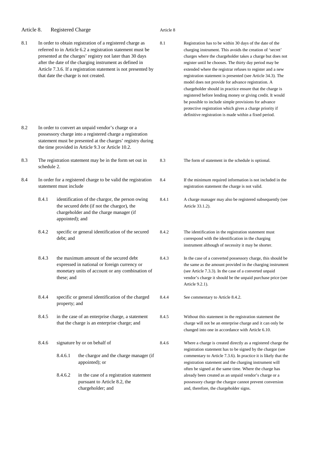| Article 8. |             | <b>Registered Charge</b> |                                                                                                                                                                                                                                                                                                                                                            | Article 8 |                                                                                                                                                                                                                                                                                                                                                                                                                                                                                                                                                                                                                                                                                                                                            |
|------------|-------------|--------------------------|------------------------------------------------------------------------------------------------------------------------------------------------------------------------------------------------------------------------------------------------------------------------------------------------------------------------------------------------------------|-----------|--------------------------------------------------------------------------------------------------------------------------------------------------------------------------------------------------------------------------------------------------------------------------------------------------------------------------------------------------------------------------------------------------------------------------------------------------------------------------------------------------------------------------------------------------------------------------------------------------------------------------------------------------------------------------------------------------------------------------------------------|
| 8.1        |             |                          | In order to obtain registration of a registered charge as<br>referred to in Article 6.2 a registration statement must be<br>presented at the charges' registry not later than 30 days<br>after the date of the charging instrument as defined in<br>Article 7.3.6. If a registration statement is not presented by<br>that date the charge is not created. | 8.1       | Registration has to be within 30 days of the date of the<br>charging instrument. This avoids the creation of 'secret'<br>charges where the chargeholder takes a charge but does not<br>register until he chooses. The thirty day period may be<br>extended where the registrar refuses to register and a new<br>registration statement is presented (see Article 34.3). The<br>model does not provide for advance registration. A<br>chargeholder should in practice ensure that the charge is<br>registered before lending money or giving credit. It would<br>be possible to include simple provisions for advance<br>protective registration which gives a charge priority if<br>definitive registration is made within a fixed period. |
| 8.2        |             |                          | In order to convert an unpaid vendor's charge or a<br>possessory charge into a registered charge a registration<br>statement must be presented at the charges' registry during<br>the time provided in Article 9.3 or Article 10.2.                                                                                                                        |           |                                                                                                                                                                                                                                                                                                                                                                                                                                                                                                                                                                                                                                                                                                                                            |
| 8.3        | schedule 2. |                          | The registration statement may be in the form set out in                                                                                                                                                                                                                                                                                                   | 8.3       | The form of statement in the schedule is optional.                                                                                                                                                                                                                                                                                                                                                                                                                                                                                                                                                                                                                                                                                         |
| 8.4        |             | statement must include   | In order for a registered charge to be valid the registration                                                                                                                                                                                                                                                                                              | 8.4       | If the minimum required information is not included in the<br>registration statement the charge is not valid.                                                                                                                                                                                                                                                                                                                                                                                                                                                                                                                                                                                                                              |
|            | 8.4.1       | appointed); and          | identification of the chargor, the person owing<br>the secured debt (if not the chargor), the<br>chargeholder and the charge manager (if                                                                                                                                                                                                                   | 8.4.1     | A charge manager may also be registered subsequently (see<br>Article 33.1.2).                                                                                                                                                                                                                                                                                                                                                                                                                                                                                                                                                                                                                                                              |
|            | 8.4.2       | debt; and                | specific or general identification of the secured                                                                                                                                                                                                                                                                                                          | 8.4.2     | The identification in the registration statement must<br>correspond with the identification in the charging<br>instrument although of necessity it may be shorter.                                                                                                                                                                                                                                                                                                                                                                                                                                                                                                                                                                         |
|            | 8.4.3       | these; and               | the maximum amount of the secured debt<br>expressed in national or foreign currency or<br>monetary units of account or any combination of                                                                                                                                                                                                                  | 8.4.3     | In the case of a converted possessory charge, this should be<br>the same as the amount provided in the charging instrument<br>(see Article 7.3.3). In the case of a converted unpaid<br>vendor's charge it should be the unpaid purchase price (see<br>Article 9.2.1).                                                                                                                                                                                                                                                                                                                                                                                                                                                                     |
|            | 8.4.4       | property; and            | specific or general identification of the charged                                                                                                                                                                                                                                                                                                          | 8.4.4     | See commentary to Article 8.4.2.                                                                                                                                                                                                                                                                                                                                                                                                                                                                                                                                                                                                                                                                                                           |
|            | 8.4.5       |                          | in the case of an enterprise charge, a statement<br>that the charge is an enterprise charge; and                                                                                                                                                                                                                                                           | 8.4.5     | Without this statement in the registration statement the<br>charge will not be an enterprise charge and it can only be<br>changed into one in accordance with Article 6.10.                                                                                                                                                                                                                                                                                                                                                                                                                                                                                                                                                                |
|            | 8.4.6       | 8.4.6.1<br>8.4.6.2       | signature by or on behalf of<br>the chargor and the charge manager (if<br>appointed); or<br>in the case of a registration statement<br>pursuant to Article 8.2, the<br>chargeholder; and                                                                                                                                                                   | 8.4.6     | Where a charge is created directly as a registered charge the<br>registration statement has to be signed by the chargor (see<br>commentary to Article 7.3.6). In practice it is likely that the<br>registration statement and the charging instrument will<br>often be signed at the same time. Where the charge has<br>already been created as an unpaid vendor's charge or a<br>possessory charge the chargor cannot prevent conversion<br>and, therefore, the chargeholder signs.                                                                                                                                                                                                                                                       |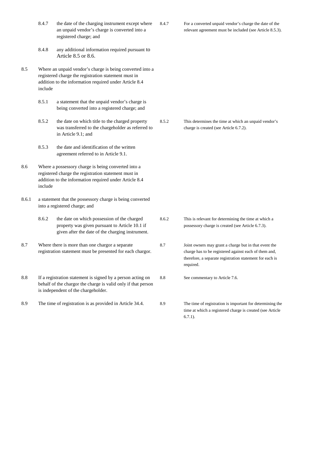|       | 8.4.7   | the date of the charging instrument except where<br>an unpaid vendor's charge is converted into a<br>registered charge; and                                                 | 8.4.7           | For a converted unpaid vendor's charge the date of the<br>relevant agreement must be included (see Article 8.5.3).                                                                      |
|-------|---------|-----------------------------------------------------------------------------------------------------------------------------------------------------------------------------|-----------------|-----------------------------------------------------------------------------------------------------------------------------------------------------------------------------------------|
|       | 8.4.8   | any additional information required pursuant to<br>Article 8.5 or 8.6.                                                                                                      |                 |                                                                                                                                                                                         |
| 8.5   | include | Where an unpaid vendor's charge is being converted into a<br>registered charge the registration statement must in<br>addition to the information required under Article 8.4 |                 |                                                                                                                                                                                         |
|       | 8.5.1   | a statement that the unpaid vendor's charge is<br>being converted into a registered charge; and                                                                             |                 |                                                                                                                                                                                         |
|       | 8.5.2   | the date on which title to the charged property<br>was transferred to the chargeholder as referred to<br>in Article 9.1; and                                                | 8.5.2           | This determines the time at which an unpaid vendor's<br>charge is created (see Article 6.7.2).                                                                                          |
|       | 8.5.3   | the date and identification of the written<br>agreement referred to in Article 9.1.                                                                                         |                 |                                                                                                                                                                                         |
| 8.6   | include | Where a possessory charge is being converted into a<br>registered charge the registration statement must in<br>addition to the information required under Article 8.4       |                 |                                                                                                                                                                                         |
| 8.6.1 |         | a statement that the possessory charge is being converted<br>into a registered charge; and                                                                                  |                 |                                                                                                                                                                                         |
|       | 8.6.2   | the date on which possession of the charged<br>property was given pursuant to Article 10.1 if<br>given after the date of the charging instrument.                           | 8.6.2           | This is relevant for determining the time at which a<br>possessory charge is created (see Article 6.7.3).                                                                               |
| 8.7   |         | Where there is more than one chargor a separate<br>registration statement must be presented for each chargor.                                                               | 8.7             | Joint owners may grant a charge but in that event the<br>charge has to be registered against each of them and,<br>therefore, a separate registration statement for each is<br>required. |
| 8.8   |         | If a registration statement is signed by a person acting on<br>behalf of the chargor the charge is valid only if that person<br>is independent of the chargeholder.         | $\!\!\!\!\!8.8$ | See commentary to Article 7.6.                                                                                                                                                          |
| 8.9   |         | The time of registration is as provided in Article 34.4.                                                                                                                    | 8.9             | The time of registration is important for determining the<br>time at which a registered charge is created (see Article<br>$6.7.1$ ).                                                    |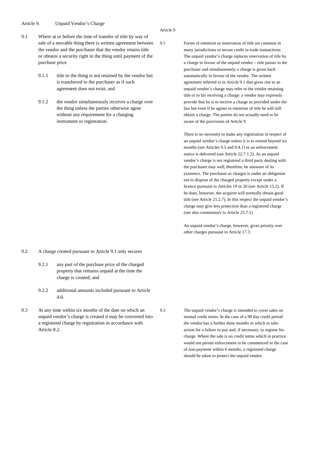Article 9. Unpaid Vendor's Charge

purchase price

#### Article 9

9.1 Where at or before the time of transfer of title by way of sale of a movable thing there is written agreement between the vendor and the purchaser that the vendor retains title or obtains a security right in the thing until payment of the 9.1.1 title to the thing is not retained by the vendor but is transferred to the purchaser as if such agreement does not exist; and

9.1.2 the vendor simultaneously receives a charge over the thing unless the parties otherwise agree without any requirement for a charging instrument or registration.

9.1 Forms of retention or reservation of title are common in many jurisdictions to secure credit in trade transactions. The unpaid vendor's charge replaces reservation of title by a charge in favour of the unpaid vendor – title passes to the purchaser and simultaneously a charge is given back automatically in favour of the vendor. The written agreement referred to in Article 9.1 that gives rise to an unpaid vendor's charge may refer to the vendor retaining title or to his receiving a charge: a vendor may expressly provide that he is to receive a charge as provided under the law but even if he agrees to retention of title he will still obtain a charge. The parties do not actually need to be aware of the provisions of Article 9.

> There is no necessity to make any registration in respect of an unpaid vendor's charge unless it is to extend beyond six months (see Articles 9.3 and 9.4.1) or an enforcement notice is delivered (see Article 22.7.1.2). As an unpaid vendor's charge is not registered a third party dealing with the purchaser may well, therefore, be unaware of its existence. The purchaser as chargor is under an obligation not to dispose of the charged property except under a licence pursuant to Articles 19 or 20 (see Article 15.2). If he does, however, the acquirer will normally obtain good title (see Article 21.2.7). In this respect the unpaid vendor's charge may give less protection than a registered charge (see also commentary to Article 23.7.1).

An unpaid vendor's charge, however, gives priority over other charges pursuant to Article 17.3.

- 9.2 A charge created pursuant to Article 9.1 only secures
	- 9.2.1 any part of the purchase price of the charged property that remains unpaid at the time the charge is created; and
	- 9.2.2 additional amounts included pursuant to Article 4.6.
- 9.3 At any time within six months of the date on which an unpaid vendor's charge is created it may be converted into a registered charge by registration in accordance with Article 8.2.

9.3 The unpaid vendor's charge is intended to cover sales on normal credit terms. In the case of a 90 day credit period the vendor has a further three months in which to take action for a failure to pay and, if necessary, to register his charge. Where the sale is on credit terms which in practice would not permit enforcement to be commenced in the case of non-payment within 6 months, a registered charge should be taken to protect the unpaid vendor.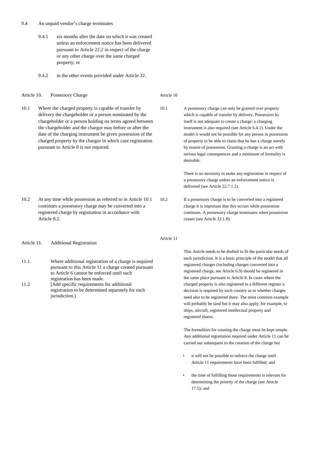#### 9.4 An unpaid vendor's charge terminates

- 9.4.1 six months after the date on which it was created unless an enforcement notice has been delivered pursuant to Article 22.2 in respect of the charge or any other charge over the same charged property; or
- 9.4.2 in the other events provided under Article 32.

#### Article 10. Possessory Charge

10.1 Where the charged property is capable of transfer by delivery the chargeholder or a person nominated by the chargeholder or a person holding on terms agreed between the chargeholder and the chargor may before or after the date of the charging instrument be given possession of the charged property by the chargor in which case registration pursuant to Article 8 is not required.

- 10.2 At any time while possession as referred to in Article 10.1 continues a possessory charge may be converted into a registered charge by registration in accordance with Article 8.2.
- Article 11. Additional Registration
- 11.1 Where additional registration of a charge is required pursuant to this Article 11 a charge created pursuant to Article 6 cannot be enforced until such registration has been made.
- 11.2 [Add specific requirements for additional registration to be determined separately for each jurisdiction.]

Article 10

10.1 A possessory charge can only be granted over property which is capable of transfer by delivery. Possession by itself is not adequate to create a charge: a charging instrument is also required (see Article 6.4.1). Under the model it would not be possible for any person in possession of property to be able to claim that he has a charge merely by reason of possession. Granting a charge is an act with serious legal consequences and a minimum of formality is desirable.

> There is no necessity to make any registration in respect of a possessory charge unless an enforcement notice is delivered (see Article 22.7.1.2).

10.2 If a possessory charge is to be converted into a registered charge it is important that this occurs while possession continues. A possessory charge terminates when possession ceases (see Article 32.1.8).

Article 11

This Article needs to be drafted to fit the particular needs of each jurisdiction. It is a basic principle of the model that all registered charges (including charges converted into a registered charge, see Article 6.9) should be registered in the same place pursuant to Article 8. In cases where the charged property is also registered in a different register a decision is required by each country as to whether charges need also to be registered there. The most common example will probably be land but it may also apply, for example, to ships, aircraft, registered intellectual property and registered shares.

The formalities for creating the charge must be kept simple. Any additional registration required under Article 11 can be carried out subsequent to the creation of the charge but

- it will not be possible to enforce the charge until Article 11 requirements have been fulfilled; and
- the time of fulfilling those requirements is relevant for determining the priority of the charge (see Article 17.5); and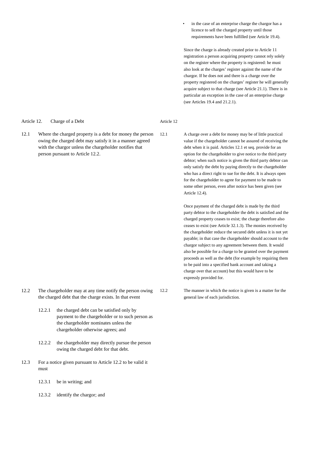#### Article 12. Charge of a Debt

12.1 Where the charged property is a debt for money the person owing the charged debt may satisfy it in a manner agreed with the chargor unless the chargeholder notifies that person pursuant to Article 12.2.

- 12.2 The chargeholder may at any time notify the person owing the charged debt that the charge exists. In that event
	- 12.2.1 the charged debt can be satisfied only by payment to the chargeholder or to such person as the chargeholder nominates unless the chargeholder otherwise agrees; and
	- 12.2.2 the chargeholder may directly pursue the person owing the charged debt for that debt.
- 12.3 For a notice given pursuant to Article 12.2 to be valid it must
	- 12.3.1 be in writing; and
	- 12.3.2 identify the chargor; and

in the case of an enterprise charge the chargor has a licence to sell the charged property until those requirements have been fulfilled (see Article 19.4).

Since the charge is already created prior to Article 11 registration a person acquiring property cannot rely solely on the register where the property is registered: he must also look at the charges' register against the name of the chargor. If he does not and there is a charge over the property registered on the charges' register he will generally acquire subject to that charge (see Article 21.1). There is in particular an exception in the case of an enterprise charge (see Articles 19.4 and 21.2.1).

#### Article 12

12.1 A charge over a debt for money may be of little practical value if the chargeholder cannot be assured of receiving the debt when it is paid. Articles 12.1 et seq. provide for an option for the chargeholder to give notice to the third party debtor; when such notice is given the third party debtor can only satisfy the debt by paying directly to the chargeholder who has a direct right to sue for the debt. It is always open for the chargeholder to agree for payment to be made to some other person, even after notice has been given (see Article 12.4).

> Once payment of the charged debt is made by the third party debtor to the chargeholder the debt is satisfied and the charged property ceases to exist; the charge therefore also ceases to exist (see Article 32.1.3). The monies received by the chargeholder reduce the secured debt unless it is not yet payable; in that case the chargeholder should account to the chargor subject to any agreement between them. It would also be possible for a charge to be granted over the payment proceeds as well as the debt (for example by requiring them to be paid into a specified bank account and taking a charge over that account) but this would have to be expressly provided for.

12.2 The manner in which the notice is given is a matter for the general law of each jurisdiction.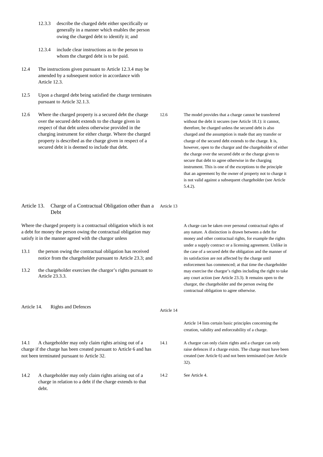- 12.3.3 describe the charged debt either specifically or generally in a manner which enables the person owing the charged debt to identify it; and
- 12.3.4 include clear instructions as to the person to whom the charged debt is to be paid.
- 12.4 The instructions given pursuant to Article 12.3.4 may be amended by a subsequent notice in accordance with Article 12.3.
- 12.5 Upon a charged debt being satisfied the charge terminates pursuant to Article 32.1.3.

12.6 Where the charged property is a secured debt the charge over the secured debt extends to the charge given in respect of that debt unless otherwise provided in the charging instrument for either charge. Where the charged property is described as the charge given in respect of a secured debt it is deemed to include that debt.

12.6 The model provides that a charge cannot be transferred without the debt it secures (see Article 18.1): it cannot, therefore, be charged unless the secured debt is also charged and the assumption is made that any transfer or charge of the secured debt extends to the charge. It is, however, open to the chargor and the chargeholder of either the charge over the secured debt or the charge given to secure that debt to agree otherwise in the charging instrument. This is one of the exceptions to the principle that an agreement by the owner of property not to charge it is not valid against a subsequent chargeholder (see Article 5.4.2).

#### Article 13. Charge of a Contractual Obligation other than a Article 13 Debt

Where the charged property is a contractual obligation which is not a debt for money the person owing the contractual obligation may satisfy it in the manner agreed with the chargor unless

- 13.1 the person owing the contractual obligation has received notice from the chargeholder pursuant to Article 23.3; and
- 13.2 the chargeholder exercises the chargor's rights pursuant to Article  $23.3.3.3$

A charge can be taken over personal contractual rights of any nature. A distinction is drawn between a debt for money and other contractual rights, for example the rights under a supply contract or a licensing agreement. Unlike in the case of a secured debt the obligation and the manner of its satisfaction are not affected by the charge until enforcement has commenced; at that time the chargeholder may exercise the chargor's rights including the right to take any court action (see Article 23.3). It remains open to the chargor, the chargeholder and the person owing the contractual obligation to agree otherwise.

Article 14. Rights and Defences

- 14.1 A chargeholder may only claim rights arising out of a charge if the charge has been created pursuant to Article 6 and has not been terminated pursuant to Article 32.
- 14.2 A chargeholder may only claim rights arising out of a charge in relation to a debt if the charge extends to that debt.

Article 14 lists certain basic principles concerning the creation, validity and enforceability of a charge.

14.1 A chargor can only claim rights and a chargor can only raise defences if a charge exists. The charge must have been created (see Article 6) and not been terminated (see Article 32).

14.2 See Article 4.

Article 14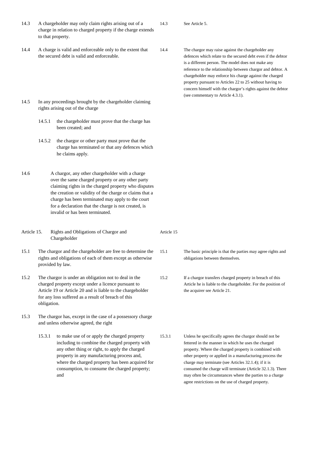- 14.3 A chargeholder may only claim rights arising out of a charge in relation to charged property if the charge extends to that property.
- 14.4 A charge is valid and enforceable only to the extent that the secured debt is valid and enforceable.
- 14.5 In any proceedings brought by the chargeholder claiming rights arising out of the charge
	- 14.5.1 the chargeholder must prove that the charge has been created; and
	- 14.5.2 the chargor or other party must prove that the charge has terminated or that any defences which he claims apply.
- 14.6 A chargor, any other chargeholder with a charge over the same charged property or any other party claiming rights in the charged property who disputes the creation or validity of the charge or claims that a charge has been terminated may apply to the court for a declaration that the charge is not created, is invalid or has been terminated.
- Article 15. Rights and Obligations of Chargor and Chargeholder
- 15.1 The chargor and the chargeholder are free to determine the rights and obligations of each of them except as otherwise provided by law.
- 15.2 The chargor is under an obligation not to deal in the charged property except under a licence pursuant to Article 19 or Article 20 and is liable to the chargeholder for any loss suffered as a result of breach of this obligation.
- 15.3 The chargor has, except in the case of a possessory charge and unless otherwise agreed, the right
	- 15.3.1 to make use of or apply the charged property including to combine the charged property with any other thing or right, to apply the charged property in any manufacturing process and, where the charged property has been acquired for consumption, to consume the charged property; and

14.4 The chargor may raise against the chargeholder any defences which relate to the secured debt even if the debtor is a different person. The model does not make any reference to the relationship between chargor and debtor. A chargeholder may enforce his charge against the charged property pursuant to Articles 22 to 25 without having to concern himself with the chargor's rights against the debtor (see commentary to Article 4.3.1).

Article 15

14.3 See Article 5.

- 15.1 The basic principle is that the parties may agree rights and obligations between themselves.
- 15.2 If a chargor transfers charged property in breach of this Article he is liable to the chargeholder. For the position of the acquirer see Article 21.
- 15.3.1 Unless he specifically agrees the chargor should not be fettered in the manner in which he uses the charged property. Where the charged property is combined with other property or applied in a manufacturing process the charge may terminate (see Articles 32.1.4); if it is consumed the charge will terminate (Article 32.1.3). There may often be circumstances where the parties to a charge agree restrictions on the use of charged property.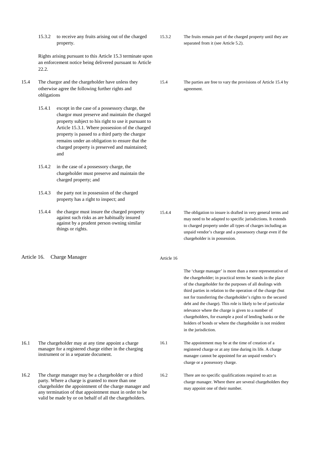15.3.2 to receive any fruits arising out of the charged property.

Rights arising pursuant to this Article 15.3 terminate upon an enforcement notice being delivered pursuant to Article 22.2.

- 15.4 The chargor and the chargeholder have unless they otherwise agree the following further rights and obligations
	- 15.4.1 except in the case of a possessory charge, the chargor must preserve and maintain the charged property subject to his right to use it pursuant to Article 15.3.1. Where possession of the charged property is passed to a third party the chargor remains under an obligation to ensure that the charged property is preserved and maintained; and
	- 15.4.2 in the case of a possessory charge, the chargeholder must preserve and maintain the charged property; and
	- 15.4.3 the party not in possession of the charged property has a right to inspect; and
	- 15.4.4 the chargor must insure the charged property against such risks as are habitually insured against by a prudent person owning similar things or rights.
- Article 16. Charge Manager

- 16.1 The chargeholder may at any time appoint a charge manager for a registered charge either in the charging instrument or in a separate document.
- 16.2 The charge manager may be a chargeholder or a third party. Where a charge is granted to more than one chargeholder the appointment of the charge manager and any termination of that appointment must in order to be valid be made by or on behalf of all the chargeholders.
- 15.3.2 The fruits remain part of the charged property until they are separated from it (see Article 5.2).
- 15.4 The parties are free to vary the provisions of Article 15.4 by agreement.

- 15.4.4 The obligation to insure is drafted in very general terms and may need to be adapted to specific jurisdictions. It extends to charged property under all types of charges including an unpaid vendor's charge and a possessory charge even if the chargeholder is in possession.
- Article 16

The 'charge manager' is more than a mere representative of the chargeholder; in practical terms he stands in the place of the chargeholder for the purposes of all dealings with third parties in relation to the operation of the charge (but not for transferring the chargeholder's rights to the secured debt and the charge). This role is likely to be of particular relevance where the charge is given to a number of chargeholders, for example a pool of lending banks or the holders of bonds or where the chargeholder is not resident in the jurisdiction.

- 16.1 The appointment may be at the time of creation of a registered charge or at any time during its life. A charge manager cannot be appointed for an unpaid vendor's charge or a possessory charge.
- 16.2 There are no specific qualifications required to act as charge manager. Where there are several chargeholders they may appoint one of their number.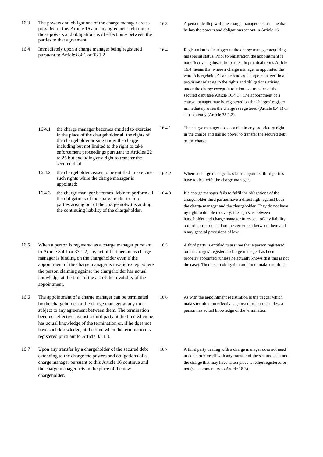- 16.3 The powers and obligations of the charge manager are as provided in this Article 16 and any agreement relating to those powers and obligations is of effect only between the parties to that agreement.
- 16.4 Immediately upon a charge manager being registered pursuant to Article 8.4.1 or 33.1.2
- 16.3 A person dealing with the charge manager can assume that he has the powers and obligations set out in Article 16.
- 16.4 Registration is the trigger to the charge manager acquiring his special status. Prior to registration the appointment is not effective against third parties. In practical terms Article 16.4 means that where a charge manager is appointed the word 'chargeholder' can be read as 'charge manager' in all provisions relating to the rights and obligations arising under the charge except in relation to a transfer of the secured debt (see Article 16.4.1). The appointment of a charge manager may be registered on the charges' register immediately when the charge is registered (Article 8.4.1) or subsequently (Article 33.1.2).
- 16.4.1 The charge manager does not obtain any proprietary right in the charge and has no power to transfer the secured debt or the charge.
- 16.4.2 Where a charge manager has been appointed third parties have to deal with the charge manager.
- 16.4.3 If a charge manager fails to fulfil the obligations of the chargeholder third parties have a direct right against both the charge manager and the chargeholder. They do not have ny right to double recovery; the rights as between hargeholder and charge manager in respect of any liability o third parties depend on the agreement between them and n any general provisions of law.
- 16.5 A third party is entitled to assume that a person registered on the charges' register as charge manager has been properly appointed (unless he actually knows that this is not the case). There is no obligation on him to make enquiries.
- 16.6 As with the appointment registration is the trigger which makes termination effective against third parties unless a person has actual knowledge of the termination.
- 16.7 A third party dealing with a charge manager does not need to concern himself with any transfer of the secured debt and the charge that may have taken place whether registered or not (see commentary to Article 18.3).

enforcement proceedings pursuant to Articles 22 to 25 but excluding any right to transfer the secured debt; 16.4.2 the chargeholder ceases to be entitled to exercise such rights while the charge manager is appointed; 16.4.3 the charge manager becomes liable to perform all the obligations of the chargeholder to third

> parties arising out of the charge notwithstanding the continuing liability of the chargeholder.

16.4.1 the charge manager becomes entitled to exercise in the place of the chargeholder all the rights of the chargeholder arising under the charge including but not limited to the right to take

- 16.5 When a person is registered as a charge manager pursuant to Article 8.4.1 or 33.1.2, any act of that person as charge manager is binding on the chargeholder even if the appointment of the charge manager is invalid except where the person claiming against the chargeholder has actual knowledge at the time of the act of the invalidity of the appointment.
- 16.6 The appointment of a charge manager can be terminated by the chargeholder or the charge manager at any time subject to any agreement between them. The termination becomes effective against a third party at the time when he has actual knowledge of the termination or, if he does not have such knowledge, at the time when the termination is registered pursuant to Article 33.1.3.
- 16.7 Upon any transfer by a chargeholder of the secured debt extending to the charge the powers and obligations of a charge manager pursuant to this Article 16 continue and the charge manager acts in the place of the new chargeholder.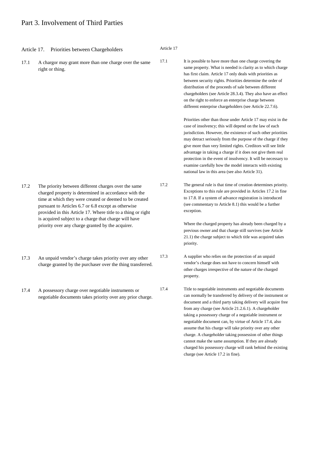## Part 3. Involvement of Third Parties

Article 17. Priorities between Chargeholders

17.1 A chargor may grant more than one charge over the same right or thing.

- 17.2 The priority between different charges over the same charged property is determined in accordance with the time at which they were created or deemed to be created pursuant to Articles 6.7 or 6.8 except as otherwise provided in this Article 17. Where title to a thing or right is acquired subject to a charge that charge will have priority over any charge granted by the acquirer.
- 17.3 An unpaid vendor's charge takes priority over any other charge granted by the purchaser over the thing transferred.
- 17.4 A possessory charge over negotiable instruments or negotiable documents takes priority over any prior charge.

Article 17

17.1 It is possible to have more than one charge covering the same property. What is needed is clarity as to which charge has first claim. Article 17 only deals with priorities as between security rights. Priorities determine the order of distribution of the proceeds of sale between different chargeholders (see Article 28.3.4). They also have an effect on the right to enforce an enterprise charge between different enterprise chargeholders (see Article 22.7.6).

> Priorities other than those under Article 17 may exist in the case of insolvency; this will depend on the law of each jurisdiction. However, the existence of such other priorities may detract seriously from the purpose of the charge if they give more than very limited rights. Creditors will see little advantage in taking a charge if it does not give them real protection in the event of insolvency. It will be necessary to examine carefully how the model interacts with existing national law in this area (see also Article 31).

17.2 The general rule is that time of creation determines priority. Exceptions to this rule are provided in Articles 17.2 in fine to 17.8. If a system of advance registration is introduced (see commentary to Article 8.1) this would be a further exception.

> Where the charged property has already been charged by a previous owner and that charge still survives (see Article 21.1) the charge subject to which title was acquired takes priority.

- 17.3 A supplier who relies on the protection of an unpaid vendor's charge does not have to concern himself with other charges irrespective of the nature of the charged property.
- 17.4 Title to negotiable instruments and negotiable documents can normally be transferred by delivery of the instrument or document and a third party taking delivery will acquire free from any charge (see Article 21.2.6.1). A chargeholder taking a possessory charge of a negotiable instrument or negotiable document can, by virtue of Article 17.4, also assume that his charge will take priority over any other charge. A chargeholder taking possession of other things cannot make the same assumption. If they are already charged his possessory charge will rank behind the existing charge (see Article 17.2 in fine).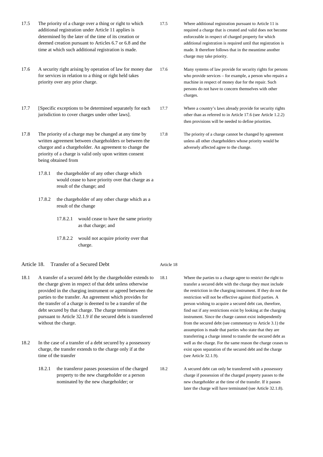- 17.5 The priority of a charge over a thing or right to which additional registration under Article 11 applies is determined by the later of the time of its creation or deemed creation pursuant to Articles 6.7 or 6.8 and the time at which such additional registration is made.
- 17.6 A security right arising by operation of law for money due for services in relation to a thing or right held takes priority over any prior charge.
- 17.7 [Specific exceptions to be determined separately for each jurisdiction to cover charges under other laws].
- 17.8 The priority of a charge may be changed at any time by written agreement between chargeholders or between the chargor and a chargeholder. An agreement to change the priority of a charge is valid only upon written consent being obtained from
	- 17.8.1 the chargeholder of any other charge which would cease to have priority over that charge as a result of the change; and
	- 17.8.2 the chargeholder of any other charge which as a result of the change
		- 17.8.2.1 would cease to have the same priority as that charge; and
		- 17.8.2.2 would not acquire priority over that charge.

#### Article 18. Transfer of a Secured Debt

- 18.1 A transfer of a secured debt by the chargeholder extends to the charge given in respect of that debt unless otherwise provided in the charging instrument or agreed between the parties to the transfer. An agreement which provides for the transfer of a charge is deemed to be a transfer of the debt secured by that charge. The charge terminates pursuant to Article 32.1.9 if the secured debt is transferred without the charge.
- 18.2 In the case of a transfer of a debt secured by a possessory charge, the transfer extends to the charge only if at the time of the transfer
	- 18.2.1 the transferor passes possession of the charged property to the new chargeholder or a person nominated by the new chargeholder; or
- 17.5 Where additional registration pursuant to Article 11 is required a charge that is created and valid does not become enforceable in respect of charged property for which additional registration is required until that registration is made. It therefore follows that in the meantime another charge may take priority.
- 17.6 Many systems of law provide for security rights for persons who provide services – for example, a person who repairs a machine in respect of money due for the repair. Such persons do not have to concern themselves with other charges.
- 17.7 Where a country's laws already provide for security rights other than as referred to in Article 17.6 (see Article 1.2.2) then provisions will be needed to define priorities.
- 17.8 The priority of a charge cannot be changed by agreement unless all other chargeholders whose priority would be adversely affected agree to the change.

#### Article 18

- 18.1 Where the parties to a charge agree to restrict the right to transfer a secured debt with the charge they must include the restriction in the charging instrument. If they do not the restriction will not be effective against third parties. A person wishing to acquire a secured debt can, therefore, find out if any restrictions exist by looking at the charging instrument. Since the charge cannot exist independently from the secured debt (see commentary to Article 3.1) the assumption is made that parties who state that they are transferring a charge intend to transfer the secured debt as well as the charge. For the same reason the charge ceases to exist upon separation of the secured debt and the charge (see Article 32.1.9).
- 18.2 A secured debt can only be transferred with a possessory charge if possession of the charged property passes to the new chargeholder at the time of the transfer. If it passes later the charge will have terminated (see Article 32.1.8).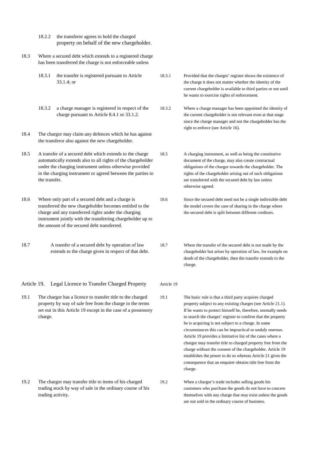- 18.2.2 the transferor agrees to hold the charged property on behalf of the new chargeholder.
- 18.3 Where a secured debt which extends to a registered charge has been transferred the charge is not enforceable unless
	- 18.3.1 the transfer is registered pursuant to Article 33.1.4; or
	- 18.3.2 a charge manager is registered in respect of the charge pursuant to Article 8.4.1 or 33.1.2.
- 18.4 The chargor may claim any defences which he has against the transferor also against the new chargeholder.
- 18.5 A transfer of a secured debt which extends to the charge automatically extends also to all rights of the chargeholder under the charging instrument unless otherwise provided in the charging instrument or agreed between the parties to the transfer.
- 18.6 Where only part of a secured debt and a charge is transferred the new chargeholder becomes entitled to the charge and any transferred rights under the charging instrument jointly with the transferring chargeholder up to the amount of the secured debt transferred.
- 18.7 A transfer of a secured debt by operation of law extends to the charge given in respect of that debt.

Article 19. Legal Licence to Transfer Charged Property

19.1 The chargor has a licence to transfer title to the charged property by way of sale free from the charge in the terms set out in this Article 19 except in the case of a possessory charge.

19.2 The chargor may transfer title to items of his charged trading stock by way of sale in the ordinary course of his trading activity.

- 18.3.1 Provided that the charges' register shows the existence of the charge it does not matter whether the identity of the current chargeholder is available to third parties or not until he wants to exercise rights of enforcement.
- 18.3.2 Where a charge manager has been appointed the identity of the current chargeholder is not relevant even at that stage since the charge manager and not the chargeholder has the right to enforce (see Article 16).
- 18.5 A charging instrument, as well as being the constitutive document of the charge, may also create contractual obligations of the chargor towards the chargeholder. The rights of the chargeholder arising out of such obligations are transferred with the secured debt by law unless otherwise agreed.
- 18.6 Since the secured debt need not be a single indivisible debt the model covers the case of sharing in the charge where the secured debt is split between different creditors.
- 18.7 Where the transfer of the secured debt is not made by the chargeholder but arises by operation of law, for example on death of the chargeholder, then the transfer extends to the charge.
- Article 19
- 19.1 The basic rule is that a third party acquires charged property subject to any existing charges (see Article 21.1). If he wants to protect himself he, therefore, normally needs to search the charges' register to confirm that the property he is acquiring is not subject to a charge. In some circumstances this can be impractical or unduly onerous. Article 19 provides a limitative list of the cases where a chargor may transfer title to charged property free from the charge without the consent of the chargeholder. Article 19 establishes the power to do so whereas Article 21 gives the consequence that an enquirer obtains title free from the charge.
- 19.2 When a chargor's trade includes selling goods his customers who purchase the goods do not have to concern themselves with any charge that may exist unless the goods are not sold in the ordinary course of business.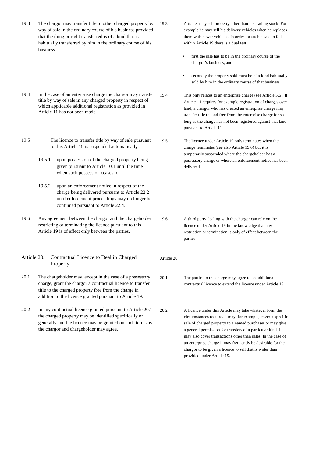- 19.3 The chargor may transfer title to other charged property by way of sale in the ordinary course of his business provided that the thing or right transferred is of a kind that is habitually transferred by him in the ordinary course of his business.
	- 19.3 A trader may sell property other than his trading stock. For example he may sell his delivery vehicles when he replaces them with newer vehicles. In order for such a sale to fall within Article 19 there is a dual test:
		- first the sale has to be in the ordinary course of the chargor's business, and
		- secondly the property sold must be of a kind habitually sold by him in the ordinary course of that business.
- 19.4 In the case of an enterprise charge the chargor may transfer title by way of sale in any charged property in respect of which applicable additional registration as provided in Article 11 has not been made.
- 19.5 The licence to transfer title by way of sale pursuant to this Article 19 is suspended automatically
	- 19.5.1 upon possession of the charged property being given pursuant to Article 10.1 until the time when such possession ceases; or
	- 19.5.2 upon an enforcement notice in respect of the charge being delivered pursuant to Article 22.2 until enforcement proceedings may no longer be continued pursuant to Article 22.4.
- 19.6 Any agreement between the chargor and the chargeholder restricting or terminating the licence pursuant to this Article 19 is of effect only between the parties.

#### Article 20. Contractual Licence to Deal in Charged Property

- 20.1 The chargeholder may, except in the case of a possessory charge, grant the chargor a contractual licence to transfer title to the charged property free from the charge in addition to the licence granted pursuant to Article 19.
- 20.2 In any contractual licence granted pursuant to Article 20.1 the charged property may be identified specifically or generally and the licence may be granted on such terms as the chargor and chargeholder may agree.

19.4 This only relates to an enterprise charge (see Article 5.6). If Article 11 requires for example registration of charges over land, a chargor who has created an enterprise charge may transfer title to land free from the enterprise charge for so long as the charge has not been registered against that land pursuant to Article 11.

19.5 The licence under Article 19 only terminates when the charge terminates (see also Article 19.6) but it is temporarily suspended where the chargeholder has a possessory charge or where an enforcement notice has been delivered.

19.6 A third party dealing with the chargor can rely on the licence under Article 19 in the knowledge that any restriction or termination is only of effect between the parties.

Article 20

- 20.1 The parties to the charge may agree to an additional contractual licence to extend the licence under Article 19.
- 20.2 A licence under this Article may take whatever form the circumstances require. It may, for example, cover a specific sale of charged property to a named purchaser or may give a general permission for transfers of a particular kind. It may also cover transactions other than sales. In the case of an enterprise charge it may frequently be desirable for the chargor to be given a licence to sell that is wider than provided under Article 19.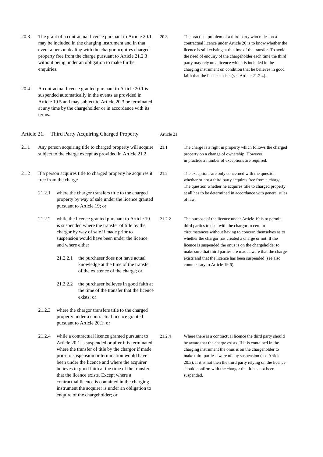- 20.3 The grant of a contractual licence pursuant to Article 20.1 may be included in the charging instrument and in that event a person dealing with the chargor acquires charged property free from the charge pursuant to Article 21.2.3 without being under an obligation to make further enquiries.
- 20.4 A contractual licence granted pursuant to Article 20.1 is suspended automatically in the events as provided in Article 19.5 and may subject to Article 20.3 be terminated at any time by the chargeholder or in accordance with its terms.

Article 21. Third Party Acquiring Charged Property

- 21.1 Any person acquiring title to charged property will acquire subject to the charge except as provided in Article 21.2.
- 21.2 If a person acquires title to charged property he acquires it free from the charge
	- 21.2.1 where the chargor transfers title to the charged property by way of sale under the licence granted pursuant to Article 19; or
	- 21.2.2 while the licence granted pursuant to Article 19 is suspended where the transfer of title by the chargor by way of sale if made prior to suspension would have been under the licence and where either
		- 21.2.2.1 the purchaser does not have actual knowledge at the time of the transfer of the existence of the charge; or
		- 21.2.2.2 the purchaser believes in good faith at the time of the transfer that the licence exists; or
	- 21.2.3 where the chargor transfers title to the charged property under a contractual licence granted pursuant to Article 20.1; or
	- 21.2.4 while a contractual licence granted pursuant to Article 20.1 is suspended or after it is terminated where the transfer of title by the chargor if made prior to suspension or termination would have been under the licence and where the acquirer believes in good faith at the time of the transfer that the licence exists. Except where a contractual licence is contained in the charging instrument the acquirer is under an obligation to enquire of the chargeholder; or

20.3 The practical problem of a third party who relies on a contractual licence under Article 20 is to know whether the licence is still existing at the time of the transfer. To avoid the need of enquiry of the chargeholder each time the third party may rely on a licence which is included in the charging instrument on condition that he believes in good faith that the licence exists (see Article 21.2.4).

Article 21

21.1 The charge is a right in property which follows the charged property on a change of ownership. However, in practice a number of exceptions are required.

21.2 The exceptions are only concerned with the question whether or not a third party acquires free from a charge. The question whether he acquires title to charged property at all has to be determined in accordance with general rules of law.

21.2.2 The purpose of the licence under Article 19 is to permit third parties to deal with the chargor in certain circumstances without having to concern themselves as to whether the chargor has created a charge or not. If the licence is suspended the onus is on the chargeholder to make sure that third parties are made aware that the charge exists and that the licence has been suspended (see also commentary to Article 19.6).

21.2.4 Where there is a contractual licence the third party should be aware that the charge exists. If it is contained in the charging instrument the onus is on the chargeholder to make third parties aware of any suspension (see Article 20.3). If it is not then the third party relying on the licence should confirm with the chargor that it has not been suspended.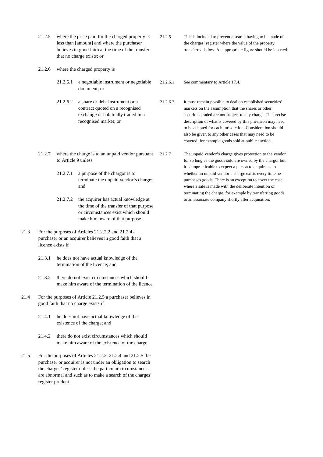21.2.5 where the price paid for the charged property is less than [amount] and where the purchaser believes in good faith at the time of the transfer that no charge exists; or

21.2.6 where the charged property is

- 21.2.6.1 a negotiable instrument or negotiable document; or
- 21.2.6.2 a share or debt instrument or a contract quoted on a recognised exchange or habitually traded in a recognised market; or
- 21.2.7 where the charge is to an unpaid vendor pursuant to Article 9 unless
	- 21.2.7.1 a purpose of the chargor is to terminate the unpaid vendor's charge; and
	- 21.2.7.2 the acquirer has actual knowledge at the time of the transfer of that purpose or circumstances exist which should make him aware of that purpose.
- 21.3 For the purposes of Articles 21.2.2.2 and 21.2.4 a purchaser or an acquirer believes in good faith that a licence exists if
	- 21.3.1 he does not have actual knowledge of the termination of the licence; and
	- 21.3.2 there do not exist circumstances which should make him aware of the termination of the licence.
- 21.4 For the purposes of Article 21.2.5 a purchaser believes in good faith that no charge exists if
	- 21.4.1 he does not have actual knowledge of the existence of the charge; and
	- 21.4.2 there do not exist circumstances which should make him aware of the existence of the charge.
- 21.5 For the purposes of Articles 21.2.2, 21.2.4 and 21.2.5 the purchaser or acquirer is not under an obligation to search the charges' register unless the particular circumstances are abnormal and such as to make a search of the charges' register prudent.

21.2.5 This is included to prevent a search having to be made of the charges' register where the value of the property transferred is low. An appropriate figure should be inserted.

- 21.2.6.1 See commentary to Article 17.4.
	- 21.2.6.2 It must remain possible to deal on established securities' markets on the assumption that the shares or other securities traded are not subject to any charge. The precise description of what is covered by this provision may need to be adapted for each jurisdiction. Consideration should also be given to any other cases that may need to be covered, for example goods sold at public auction.
	- 21.2.7 The unpaid vendor's charge gives protection to the vendor for so long as the goods sold are owned by the chargor but it is impracticable to expect a person to enquire as to whether an unpaid vendor's charge exists every time he purchases goods. There is an exception to cover the case where a sale is made with the deliberate intention of terminating the charge, for example by transferring goods to an associate company shortly after acquisition.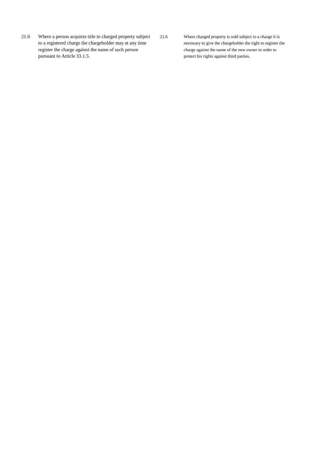21.6 Where a person acquires title to charged property subject to a registered charge the chargeholder may at any time register the charge against the name of such person pursuant to Article 33.1.5.

21.6 Where charged property is sold subject to a charge it is necessary to give the chargeholder the right to register the charge against the name of the new owner in order to protect his rights against third parties.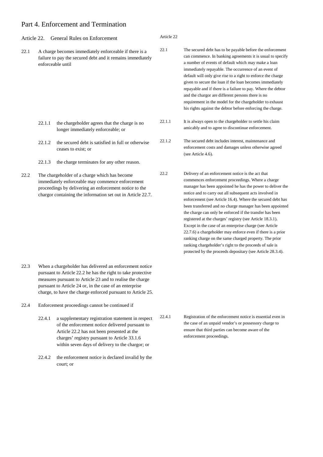## Part 4. Enforcement and Termination

| Article 22. |        | General Rules on Enforcement                                                                                                                                                                                               | Article 22 |                                                                                                                                                                                                                                                                                                                                                                                                                                                                                                                                                                                                                                                                                                                                                                                                  |
|-------------|--------|----------------------------------------------------------------------------------------------------------------------------------------------------------------------------------------------------------------------------|------------|--------------------------------------------------------------------------------------------------------------------------------------------------------------------------------------------------------------------------------------------------------------------------------------------------------------------------------------------------------------------------------------------------------------------------------------------------------------------------------------------------------------------------------------------------------------------------------------------------------------------------------------------------------------------------------------------------------------------------------------------------------------------------------------------------|
| 22.1        |        | A charge becomes immediately enforceable if there is a<br>failure to pay the secured debt and it remains immediately<br>enforceable until                                                                                  | 22.1       | The secured debt has to be payable before the enforcement<br>can commence. In banking agreements it is usual to specify<br>a number of events of default which may make a loan<br>immediately repayable. The occurrence of an event of<br>default will only give rise to a right to enforce the charge<br>given to secure the loan if the loan becomes immediately<br>repayable and if there is a failure to pay. Where the debtor<br>and the chargor are different persons there is no<br>requirement in the model for the chargeholder to exhaust<br>his rights against the debtor before enforcing the charge.                                                                                                                                                                                |
|             | 22.1.1 | the chargeholder agrees that the charge is no<br>longer immediately enforceable; or                                                                                                                                        | 22.1.1     | It is always open to the chargeholder to settle his claim<br>amicably and to agree to discontinue enforcement.                                                                                                                                                                                                                                                                                                                                                                                                                                                                                                                                                                                                                                                                                   |
|             | 22.1.2 | the secured debt is satisfied in full or otherwise<br>ceases to exist; or                                                                                                                                                  | 22.1.2     | The secured debt includes interest, maintenance and<br>enforcement costs and damages unless otherwise agreed<br>(see Article 4.6).                                                                                                                                                                                                                                                                                                                                                                                                                                                                                                                                                                                                                                                               |
|             | 22.1.3 | the charge terminates for any other reason.                                                                                                                                                                                |            |                                                                                                                                                                                                                                                                                                                                                                                                                                                                                                                                                                                                                                                                                                                                                                                                  |
| 22.2        |        | The chargeholder of a charge which has become<br>immediately enforceable may commence enforcement<br>proceedings by delivering an enforcement notice to the<br>chargor containing the information set out in Article 22.7. | 22.2       | Delivery of an enforcement notice is the act that<br>commences enforcement proceedings. Where a charge<br>manager has been appointed he has the power to deliver the<br>notice and to carry out all subsequent acts involved in<br>enforcement (see Article 16.4). Where the secured debt has<br>been transferred and no charge manager has been appointed<br>the charge can only be enforced if the transfer has been<br>registered at the charges' registry (see Article 18.3.1).<br>Except in the case of an enterprise charge (see Article<br>22.7.6) a chargeholder may enforce even if there is a prior<br>ranking charge on the same charged property. The prior<br>ranking chargeholder's right to the proceeds of sale is<br>protected by the proceeds depositary (see Article 28.3.4). |

- 22.3 When a chargeholder has delivered an enforcement notice pursuant to Article 22.2 he has the right to take protective measures pursuant to Article 23 and to realise the charge pursuant to Article 24 or, in the case of an enterprise charge, to have the charge enforced pursuant to Article 25.
- 22.4 Enforcement proceedings cannot be continued if
	- 22.4.1 a supplementary registration statement in respect of the enforcement notice delivered pursuant to Article 22.2 has not been presented at the charges' registry pursuant to Article 33.1.6 within seven days of delivery to the chargor; or
	- 22.4.2 the enforcement notice is declared invalid by the court; or
- 22.4.1 Registration of the enforcement notice is essential even in the case of an unpaid vendor's or possessory charge to ensure that third parties can become aware of the enforcement proceedings.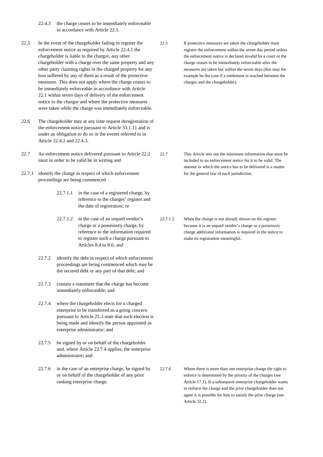22.4.3 the charge ceases to be immediately enforceable in accordance with Article 22.1.

- 22.5 In the event of the chargeholder failing to register the enforcement notice as required by Article 22.4.1 the chargeholder is liable to the chargor, any other chargeholder with a charge over the same property and any other party claiming rights in the charged property for any loss suffered by any of them as a result of the protective measures. This does not apply where the charge ceases to be immediately enforceable in accordance with Article 22.1 within seven days of delivery of the enforcement notice to the chargor and where the protective measures were taken while the charge was immediately enforceable.
- 22.6 The chargeholder may at any time request deregistration of the enforcement notice pursuant to Article 33.1.11 and is under an obligation to do so in the events referred to in Article 22.4.2 and 22.4.3.
- 22.7 An enforcement notice delivered pursuant to Article 22.2 must in order to be valid be in writing and
- 22.7.1 identify the charge in respect of which enforcement proceedings are being commenced
	- 22.7.1.1 in the case of a registered charge, by reference to the charges' register and the date of registration; or
	- 22.7.1.2 in the case of an unpaid vendor's charge or a possessory charge, by reference to the information required to register such a charge pursuant to Articles 8.4 to 8.6; and
	- 22.7.2 identify the debt in respect of which enforcement proceedings are being commenced which may be the secured debt or any part of that debt; and
	- 22.7.3 contain a statement that the charge has become immediately enforceable; and
	- 22.7.4 where the chargeholder elects for a charged enterprise to be transferred as a going concern pursuant to Article 25.3 state that such election is being made and identify the person appointed as enterprise administrator; and
	- 22.7.5 be signed by or on behalf of the chargeholder and, where Article 22.7.4 applies, the enterprise administrator; and
	- 22.7.6 in the case of an enterprise charge, be signed by or on behalf of the chargeholder of any prior ranking enterprise charge.

22.5 If protective measures are taken the chargeholder must register the enforcement within the seven day period unless the enforcement notice is declared invalid by a court or the charge ceases to be immediately enforceable after the measures are taken but within the seven days (this may for example be the case if a settlement is reached between the chargor and the chargeholder).

- 22.7 This Article sets out the minimum information that must be included in an enforcement notice for it to be valid. The manner in which the notice has to be delivered is a matter for the general law of each jurisdiction.
- 22.7.1.2 When the charge is not already shown on the register because it is an unpaid vendor's charge or a possessory charge additional information is required in the notice to make its registration meaningful.

22.7.6 Where there is more than one enterprise charge the right to enforce is determined by the priority of the charges (see Article 17.1). If a subsequent enterprise chargeholder wants to enforce the charge and the prior chargeholder does not agree it is possible for him to satisfy the prior charge (see Article 32.2).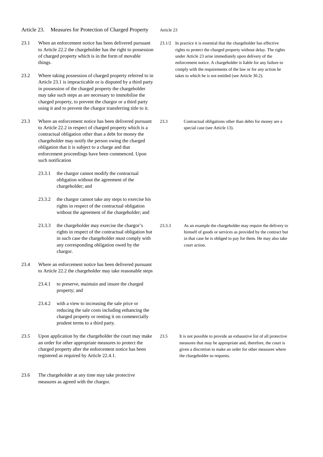Article 23. Measures for Protection of Charged Property

- 23.1 When an enforcement notice has been delivered pursuant to Article 22.2 the chargeholder has the right to possession of charged property which is in the form of movable things.
- 23.2 Where taking possession of charged property referred to in Article 23.1 is impracticable or is disputed by a third party in possession of the charged property the chargeholder may take such steps as are necessary to immobilise the charged property, to prevent the chargor or a third party using it and to prevent the chargor transferring title to it.
- 23.3 Where an enforcement notice has been delivered pursuant to Article 22.2 in respect of charged property which is a contractual obligation other than a debt for money the chargeholder may notify the person owing the charged obligation that it is subject to a charge and that enforcement proceedings have been commenced. Upon such notification
	- 23.3.1 the chargor cannot modify the contractual obligation without the agreement of the chargeholder; and
	- 23.3.2 the chargor cannot take any steps to exercise his rights in respect of the contractual obligation without the agreement of the chargeholder; and
	- 23.3.3 the chargeholder may exercise the chargor's rights in respect of the contractual obligation but in such case the chargeholder must comply with any corresponding obligation owed by the chargor.
- 23.4 Where an enforcement notice has been delivered pursuant to Article 22.2 the chargeholder may take reasonable steps
	- 23.4.1 to preserve, maintain and insure the charged property; and
	- 23.4.2 with a view to increasing the sale price or reducing the sale costs including enhancing the charged property or renting it on commercially prudent terms to a third party.
- 23.5 Upon application by the chargeholder the court may make an order for other appropriate measures to protect the charged property after the enforcement notice has been registered as required by Article 22.4.1.
- 23.6 The chargeholder at any time may take protective measures as agreed with the chargor.

Article 23

- 23.1/2 In practice it is essential that the chargeholder has effective rights to protect the charged property without delay. The rights under Article 23 arise immediately upon delivery of the enforcement notice. A chargeholder is liable for any failure to comply with the requirements of the law or for any action he takes to which he is not entitled (see Article 30.2).
- 23.3 Contractual obligations other than debts for money are a special case (see Article 13).

23.3.3 As an example the chargeholder may require the delivery to himself of goods or services as provided by the contract but in that case he is obliged to pay for them. He may also take court action.

23.5 It is not possible to provide an exhaustive list of all protective measures that may be appropriate and, therefore, the court is given a discretion to make an order for other measures where the chargeholder so requests.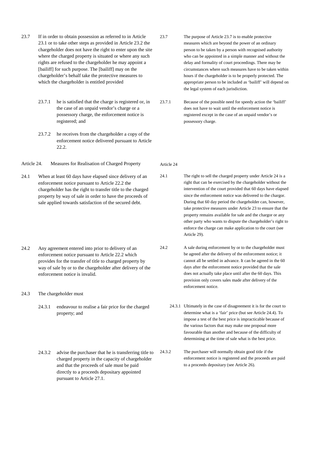- 23.7 If in order to obtain possession as referred to in Article 23.1 or to take other steps as provided in Article 23.2 the chargeholder does not have the right to enter upon the site where the charged property is situated or where any such rights are refused to the chargeholder he may appoint a [bailiff] for such purpose. The [bailiff] may on the chargeholder's behalf take the protective measures to which the chargeholder is entitled provided
	- 23.7.1 he is satisfied that the charge is registered or, in the case of an unpaid vendor's charge or a possessory charge, the enforcement notice is registered; and
	- 23.7.2 he receives from the chargeholder a copy of the enforcement notice delivered pursuant to Article 22.2.
- Article 24. Measures for Realisation of Charged Property
- 24.1 When at least 60 days have elapsed since delivery of an enforcement notice pursuant to Article 22.2 the chargeholder has the right to transfer title to the charged property by way of sale in order to have the proceeds of sale applied towards satisfaction of the secured debt.
- 24.2 Any agreement entered into prior to delivery of an enforcement notice pursuant to Article 22.2 which provides for the transfer of title to charged property by way of sale by or to the chargeholder after delivery of the enforcement notice is invalid.
- 24.3 The chargeholder must
	- 24.3.1 endeavour to realise a fair price for the charged property; and
	- 24.3.2 advise the purchaser that he is transferring title to charged property in the capacity of chargeholder and that the proceeds of sale must be paid directly to a proceeds depositary appointed pursuant to Article 27.1.
- 23.7 The purpose of Article 23.7 is to enable protective measures which are beyond the power of an ordinary person to be taken by a person with recognised authority who can be appointed in a simple manner and without the delay and formality of court proceedings. There may be circumstances where such measures have to be taken within hours if the chargeholder is to be properly protected. The appropriate person to be included as 'bailiff' will depend on the legal system of each jurisdiction.
- 23.7.1 Because of the possible need for speedy action the 'bailiff' does not have to wait until the enforcement notice is registered except in the case of an unpaid vendor's or possessory charge.

Article 24

24.1 The right to sell the charged property under Article 24 is a right that can be exercised by the chargeholder without the intervention of the court provided that 60 days have elapsed since the enforcement notice was delivered to the chargor. During that 60 day period the chargeholder can, however, take protective measures under Article 23 to ensure that the property remains available for sale and the chargor or any other party who wants to dispute the chargeholder's right to enforce the charge can make application to the court (see Article 29).

- 24.2 A sale during enforcement by or to the chargeholder must be agreed after the delivery of the enforcement notice; it cannot all be settled in advance. It can be agreed in the 60 days after the enforcement notice provided that the sale does not actually take place until after the 60 days. This provision only covers sales made after delivery of the enforcement notice.
	- 24.3.1 Ultimately in the case of disagreement it is for the court to determine what is a 'fair' price (but see Article 24.4). To impose a test of the best price is impracticable because of the various factors that may make one proposal more favourable than another and because of the difficulty of determining at the time of sale what is the best price.
- 24.3.2 The purchaser will normally obtain good title if the enforcement notice is registered and the proceeds are paid to a proceeds depositary (see Article 26).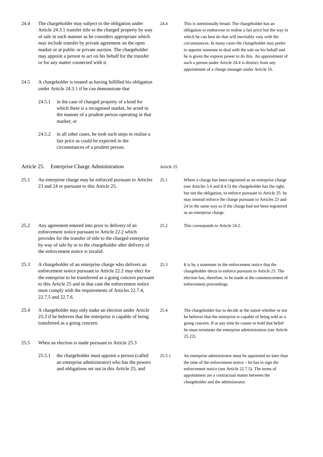| 24.4         |                                                                                                                                                                                                                                                                                                                                  | The chargeholder may subject to the obligation under<br>Article 24.3.1 transfer title to the charged property by way<br>of sale in such manner as he considers appropriate which<br>may include transfer by private agreement on the open<br>market or at public or private auction. The chargeholder<br>may appoint a person to act on his behalf for the transfer<br>or for any matter connected with it. | 24.4       | This is intentionally broad. The chargeholder has an<br>obligation to endeavour to realise a fair price but the way in<br>which he can best do that will inevitably vary with the<br>circumstances. In many cases the chargeholder may prefer<br>to appoint someone to deal with the sale on his behalf and<br>he is given the express power to do this. An appointment of<br>such a person under Article 24.4 is distinct from any<br>appointment of a charge manager under Article 16. |
|--------------|----------------------------------------------------------------------------------------------------------------------------------------------------------------------------------------------------------------------------------------------------------------------------------------------------------------------------------|-------------------------------------------------------------------------------------------------------------------------------------------------------------------------------------------------------------------------------------------------------------------------------------------------------------------------------------------------------------------------------------------------------------|------------|------------------------------------------------------------------------------------------------------------------------------------------------------------------------------------------------------------------------------------------------------------------------------------------------------------------------------------------------------------------------------------------------------------------------------------------------------------------------------------------|
| 24.5         |                                                                                                                                                                                                                                                                                                                                  | A chargeholder is treated as having fulfilled his obligation<br>under Article 24.3.1 if he can demonstrate that                                                                                                                                                                                                                                                                                             |            |                                                                                                                                                                                                                                                                                                                                                                                                                                                                                          |
|              | 24.5.1                                                                                                                                                                                                                                                                                                                           | in the case of charged property of a kind for<br>which there is a recognised market, he acted in<br>the manner of a prudent person operating in that<br>market; or                                                                                                                                                                                                                                          |            |                                                                                                                                                                                                                                                                                                                                                                                                                                                                                          |
|              | 24.5.2                                                                                                                                                                                                                                                                                                                           | in all other cases, he took such steps to realise a<br>fair price as could be expected in the<br>circumstances of a prudent person.                                                                                                                                                                                                                                                                         |            |                                                                                                                                                                                                                                                                                                                                                                                                                                                                                          |
| Article 25.  |                                                                                                                                                                                                                                                                                                                                  | <b>Enterprise Charge Administration</b>                                                                                                                                                                                                                                                                                                                                                                     | Article 25 |                                                                                                                                                                                                                                                                                                                                                                                                                                                                                          |
| 25.1         | An enterprise charge may be enforced pursuant to Articles<br>23 and 24 or pursuant to this Article 25.                                                                                                                                                                                                                           |                                                                                                                                                                                                                                                                                                                                                                                                             | 25.1       | Where a charge has been registered as an enterprise charge<br>(see Articles 5.6 and 8.4.5) the chargeholder has the right,<br>but not the obligation, to enforce pursuant to Article 25; he<br>may instead enforce the charge pursuant to Articles 23 and<br>24 in the same way as if the charge had not been registered<br>as an enterprise charge.                                                                                                                                     |
| 25.2         | Any agreement entered into prior to delivery of an<br>enforcement notice pursuant to Article 22.2 which<br>provides for the transfer of title to the charged enterprise<br>by way of sale by or to the chargeholder after delivery of<br>the enforcement notice is invalid.                                                      |                                                                                                                                                                                                                                                                                                                                                                                                             | 25.2       | This corresponds to Article 24.2.                                                                                                                                                                                                                                                                                                                                                                                                                                                        |
| 25.3         | A chargeholder of an enterprise charge who delivers an<br>enforcement notice pursuant to Article 22.2 may elect for<br>the enterprise to be transferred as a going concern pursuant<br>to this Article 25 and in that case the enforcement notice<br>must comply with the requirements of Articles 22.7.4,<br>22.7.5 and 22.7.6. |                                                                                                                                                                                                                                                                                                                                                                                                             | 25.3       | It is by a statement in the enforcement notice that the<br>chargeholder elects to enforce pursuant to Article 25. The<br>election has, therefore, to be made at the commencement of<br>enforcement proceedings.                                                                                                                                                                                                                                                                          |
| 25.4<br>25.5 | A chargeholder may only make an election under Article<br>25.3 if he believes that the enterprise is capable of being<br>transferred as a going concern.                                                                                                                                                                         |                                                                                                                                                                                                                                                                                                                                                                                                             | 25.4       | The chargeholder has to decide at the outset whether or not<br>he believes that the enterprise is capable of being sold as a<br>going concern. If at any time he ceases to hold that belief<br>he must terminate the enterprise administration (see Article<br>$25.22$ ).                                                                                                                                                                                                                |
|              | 25.5.1                                                                                                                                                                                                                                                                                                                           | When an election is made pursuant to Article 25.3<br>the chargeholder must appoint a person (called<br>an enterprise administrator) who has the powers<br>and obligations set out in this Article 25; and                                                                                                                                                                                                   | 25.5.1     | An enterprise administrator must be appointed no later than<br>the time of the enforcement notice – he has to sign the<br>enforcement notice (see Article 22.7.5). The terms of<br>appointment are a contractual matter between the                                                                                                                                                                                                                                                      |

chargeholder and the administrator.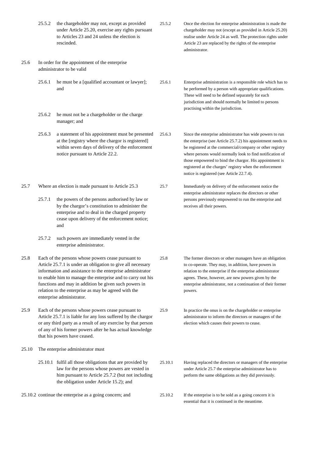|       | 25.5.2                                                                                                                                                                                                                                                                                                                                                                                       | the chargeholder may not, except as provided<br>under Article 25.20, exercise any rights pursuant<br>to Articles 23 and 24 unless the election is<br>rescinded.                                                                                                                   | 25.5.2  | Once the election for enterprise administration is made the<br>chargeholder may not (except as provided in Article 25.20)<br>realise under Article 24 as well. The protection rights under<br>Article 23 are replaced by the rights of the enterprise<br>administrator.                                                                                                                                                  |
|-------|----------------------------------------------------------------------------------------------------------------------------------------------------------------------------------------------------------------------------------------------------------------------------------------------------------------------------------------------------------------------------------------------|-----------------------------------------------------------------------------------------------------------------------------------------------------------------------------------------------------------------------------------------------------------------------------------|---------|--------------------------------------------------------------------------------------------------------------------------------------------------------------------------------------------------------------------------------------------------------------------------------------------------------------------------------------------------------------------------------------------------------------------------|
| 25.6  |                                                                                                                                                                                                                                                                                                                                                                                              | In order for the appointment of the enterprise<br>administrator to be valid                                                                                                                                                                                                       |         |                                                                                                                                                                                                                                                                                                                                                                                                                          |
|       | 25.6.1                                                                                                                                                                                                                                                                                                                                                                                       | he must be a [qualified accountant or lawyer];<br>and                                                                                                                                                                                                                             | 25.6.1  | Enterprise administration is a responsible role which has to<br>be performed by a person with appropriate qualifications.<br>These will need to be defined separately for each<br>jurisdiction and should normally be limited to persons<br>practising within the jurisdiction.                                                                                                                                          |
|       | 25.6.2                                                                                                                                                                                                                                                                                                                                                                                       | he must not be a chargeholder or the charge<br>manager; and                                                                                                                                                                                                                       |         |                                                                                                                                                                                                                                                                                                                                                                                                                          |
|       | 25.6.3                                                                                                                                                                                                                                                                                                                                                                                       | a statement of his appointment must be presented<br>at the [registry where the chargor is registered]<br>within seven days of delivery of the enforcement<br>notice pursuant to Article 22.2.                                                                                     | 25.6.3  | Since the enterprise administrator has wide powers to run<br>the enterprise (see Article 25.7.2) his appointment needs to<br>be registered at the commercial/company or other registry<br>where persons would normally look to find notification of<br>those empowered to bind the chargor. His appointment is<br>registered at the charges' registry when the enforcement<br>notice is registered (see Article 22.7.4). |
| 25.7  | 25.7.1                                                                                                                                                                                                                                                                                                                                                                                       | Where an election is made pursuant to Article 25.3                                                                                                                                                                                                                                | 25.7    | Immediately on delivery of the enforcement notice the<br>enterprise administrator replaces the directors or other                                                                                                                                                                                                                                                                                                        |
|       |                                                                                                                                                                                                                                                                                                                                                                                              | the powers of the persons authorised by law or<br>by the chargor's constitution to administer the<br>enterprise and to deal in the charged property<br>cease upon delivery of the enforcement notice;<br>and                                                                      |         | persons previously empowered to run the enterprise and<br>receives all their powers.                                                                                                                                                                                                                                                                                                                                     |
|       | 25.7.2                                                                                                                                                                                                                                                                                                                                                                                       | such powers are immediately vested in the<br>enterprise administrator.                                                                                                                                                                                                            |         |                                                                                                                                                                                                                                                                                                                                                                                                                          |
| 25.8  | Each of the persons whose powers cease pursuant to<br>Article 25.7.1 is under an obligation to give all necessary<br>information and assistance to the enterprise administrator<br>to enable him to manage the enterprise and to carry out his<br>functions and may in addition be given such powers in<br>relation to the enterprise as may be agreed with the<br>enterprise administrator. |                                                                                                                                                                                                                                                                                   | 25.8    | The former directors or other managers have an obligation<br>to co-operate. They may, in addition, have powers in<br>relation to the enterprise if the enterprise administrator<br>agrees. These, however, are new powers given by the<br>enterprise administrator, not a continuation of their former<br>powers.                                                                                                        |
| 25.9  |                                                                                                                                                                                                                                                                                                                                                                                              | Each of the persons whose powers cease pursuant to<br>Article 25.7.1 is liable for any loss suffered by the chargor<br>or any third party as a result of any exercise by that person<br>of any of his former powers after he has actual knowledge<br>that his powers have ceased. | 25.9    | In practice the onus is on the chargeholder or enterprise<br>administrator to inform the directors or managers of the<br>election which causes their powers to cease.                                                                                                                                                                                                                                                    |
| 25.10 |                                                                                                                                                                                                                                                                                                                                                                                              | The enterprise administrator must                                                                                                                                                                                                                                                 |         |                                                                                                                                                                                                                                                                                                                                                                                                                          |
|       |                                                                                                                                                                                                                                                                                                                                                                                              | 25.10.1 fulfil all those obligations that are provided by<br>law for the persons whose powers are vested in<br>him pursuant to Article 25.7.2 (but not including<br>the obligation under Article 15.2); and                                                                       | 25.10.1 | Having replaced the directors or managers of the enterprise<br>under Article 25.7 the enterprise administrator has to<br>perform the same obligations as they did previously.                                                                                                                                                                                                                                            |
|       |                                                                                                                                                                                                                                                                                                                                                                                              | 25.10.2 continue the enterprise as a going concern; and                                                                                                                                                                                                                           | 25.10.2 | If the enterprise is to be sold as a going concern it is<br>essential that it is continued in the meantime.                                                                                                                                                                                                                                                                                                              |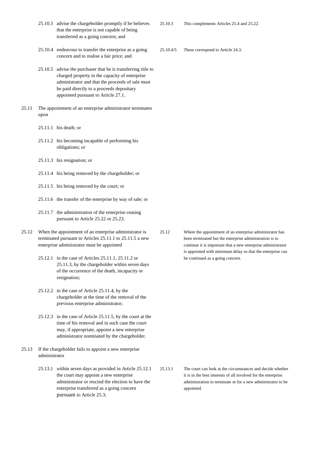- 25.10.3 advise the chargeholder promptly if he believes that the enterprise is not capable of being transferred as a going concern; and
- 25.10.4 endeavour to transfer the enterprise as a going concern and to realise a fair price; and
- 25.10.5 advise the purchaser that he is transferring title to charged property in the capacity of enterprise administrator and that the proceeds of sale must be paid directly to a proceeds depositary appointed pursuant to Article 27.1.
- 25.11 The appointment of an enterprise administrator terminates upon
	- 25.11.1 his death; or
	- 25.11.2 his becoming incapable of performing his obligations; or
	- 25.11.3 his resignation; or
	- 25.11.4 his being removed by the chargeholder; or
	- 25.11.5 his being removed by the court; or
	- 25.11.6 the transfer of the enterprise by way of sale; or
	- 25.11.7 the administration of the enterprise ceasing pursuant to Article 25.22 or 25.23.
- 25.12 When the appointment of an enterprise administrator is terminated pursuant to Articles 25.11.1 to 25.11.5 a new enterprise administrator must be appointed
	- 25.12.1 in the case of Articles 25.11.1, 25.11.2 or 25.11.3, by the chargeholder within seven days of the occurrence of the death, incapacity or resignation;
	- 25.12.2 in the case of Article 25.11.4, by the chargeholder at the time of the removal of the previous enterprise administrator;
	- 25.12.3 in the case of Article 25.11.5, by the court at the time of his removal and in such case the court may, if appropriate, appoint a new enterprise administrator nominated by the chargeholder.
- 25.13 If the chargeholder fails to appoint a new enterprise administrator
	- 25.13.1 within seven days as provided in Article 25.12.1 the court may appoint a new enterprise administrator or rescind the election to have the enterprise transferred as a going concern pursuant to Article 25.3;

25.12 Where the appointment of an enterprise administrator has been terminated but the enterprise administration is to continue it is important that a new enterprise administrator is appointed with minimum delay so that the enterprise can be continued as a going concern.

25.13.1 The court can look at the circumstances and decide whether it is in the best interests of all involved for the enterprise administration to terminate or for a new administrator to be appointed.

25.10.4/5 These correspond to Article 24.3.

25.10.3 This complements Articles 25.4 and 25.22.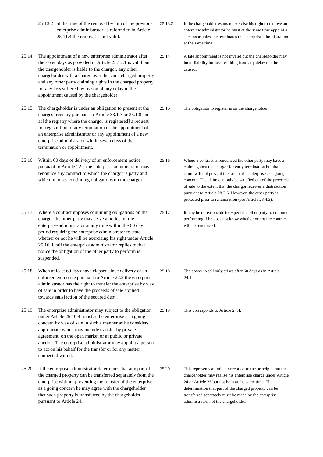- 25.13.2 at the time of the removal by him of the previous enterprise administrator as referred to in Article 25.11.4 the removal is not valid.
- 25.14 The appointment of a new enterprise administrator after the seven days as provided in Article 25.12.1 is valid but the chargeholder is liable to the chargor, any other chargeholder with a charge over the same charged property and any other party claiming rights in the charged property for any loss suffered by reason of any delay in the appointment caused by the chargeholder.
- 25.15 The chargeholder is under an obligation to present at the charges' registry pursuant to Article 33.1.7 or 33.1.8 and at [the registry where the chargor is registered] a request for registration of any termination of the appointment of an enterprise administrator or any appointment of a new enterprise administrator within seven days of the termination or appointment.
- 25.16 Within 60 days of delivery of an enforcement notice pursuant to Article 22.2 the enterprise administrator may renounce any contract to which the chargor is party and which imposes continuing obligations on the chargor.
- 25.17 Where a contract imposes continuing obligations on the chargor the other party may serve a notice on the enterprise administrator at any time within the 60 day period requiring the enterprise administrator to state whether or not he will be exercising his right under Article 25.16. Until the enterprise administrator replies to that notice the obligation of the other party to perform is suspended.
- 25.18 When at least 60 days have elapsed since delivery of an enforcement notice pursuant to Article 22.2 the enterprise administrator has the right to transfer the enterprise by way of sale in order to have the proceeds of sale applied towards satisfaction of the secured debt.
- 25.19 The enterprise administrator may subject to the obligation under Article 25.10.4 transfer the enterprise as a going concern by way of sale in such a manner as he considers appropriate which may include transfer by private agreement, on the open market or at public or private auction. The enterprise administrator may appoint a person to act on his behalf for the transfer or for any matter connected with it.
- 25.20 If the enterprise administrator determines that any part of the charged property can be transferred separately from the enterprise without preventing the transfer of the enterprise as a going concern he may agree with the chargeholder that such property is transferred by the chargeholder pursuant to Article 24.
- 25.13.2 If the chargeholder wants to exercise his right to remove an enterprise administrator he must at the same time appoint a successor unless he terminates the enterprise administration at the same time.
- 25.14 A late appointment is not invalid but the chargeholder may incur liability for loss resulting from any delay that he caused.
- 25.15 The obligation to register is on the chargeholder.

- 25.16 Where a contract is renounced the other party may have a claim against the chargor for early termination but that claim will not prevent the sale of the enterprise as a going concern. The claim can only be satisfied out of the proceeds of sale to the extent that the chargor receives a distribution pursuant to Article 28.3.6. However, the other party is protected prior to renunciation (see Article 28.4.3).
- 25.17 It may be unreasonable to expect the other party to continue performing if he does not know whether or not the contract will be renounced.
- 25.18 The power to sell only arises after 60 days as in Article 24.1.
- 25.19 This corresponds to Article 24.4.

25.20 This represents a limited exception to the principle that the chargeholder may realise his enterprise charge under Article 24 or Article 25 but not both at the same time. The determination that part of the charged property can be transferred separately must be made by the enterprise administrator, not the chargeholder.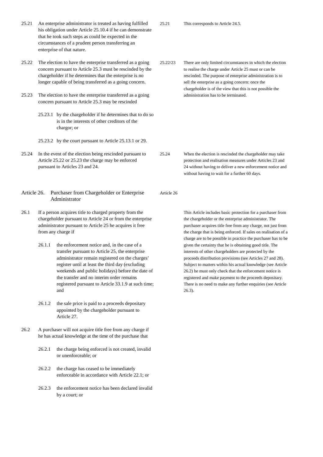|             |                                                                                                                                                                                                                                               | his obligation under Article 25.10.4 if he can demonstrate<br>that he took such steps as could be expected in the<br>circumstances of a prudent person transferring an<br>enterprise of that nature. |            |                                                                                                                                                                                                                                                                                                   |
|-------------|-----------------------------------------------------------------------------------------------------------------------------------------------------------------------------------------------------------------------------------------------|------------------------------------------------------------------------------------------------------------------------------------------------------------------------------------------------------|------------|---------------------------------------------------------------------------------------------------------------------------------------------------------------------------------------------------------------------------------------------------------------------------------------------------|
| 25.22       | The election to have the enterprise transferred as a going<br>concern pursuant to Article 25.3 must be rescinded by the<br>chargeholder if he determines that the enterprise is no<br>longer capable of being transferred as a going concern. |                                                                                                                                                                                                      | 25.22/23   | There are only limited circumstances in which the election<br>to realise the charge under Article 25 must or can be<br>rescinded. The purpose of enterprise administration is to<br>sell the enterprise as a going concern: once the<br>chargeholder is of the view that this is not possible the |
| 25.23       |                                                                                                                                                                                                                                               | The election to have the enterprise transferred as a going<br>concern pursuant to Article 25.3 may be rescinded                                                                                      |            | administration has to be terminated.                                                                                                                                                                                                                                                              |
|             |                                                                                                                                                                                                                                               | 25.23.1 by the chargeholder if he determines that to do so<br>is in the interests of other creditors of the<br>chargor; or                                                                           |            |                                                                                                                                                                                                                                                                                                   |
|             |                                                                                                                                                                                                                                               | 25.23.2 by the court pursuant to Article 25.13.1 or 29.                                                                                                                                              |            |                                                                                                                                                                                                                                                                                                   |
| 25.24       |                                                                                                                                                                                                                                               | In the event of the election being rescinded pursuant to<br>Article 25.22 or 25.23 the charge may be enforced<br>pursuant to Articles 23 and 24.                                                     | 25.24      | When the election is rescinded the chargeholder may take<br>protection and realisation measures under Articles 23 and<br>24 without having to deliver a new enforcement notice and<br>without having to wait for a further 60 days.                                                               |
| Article 26. |                                                                                                                                                                                                                                               | Purchaser from Chargeholder or Enterprise<br>Administrator                                                                                                                                           | Article 26 |                                                                                                                                                                                                                                                                                                   |

25.21 This corresponds to Article 24.5.

26.1 If a person acquires title to charged property from the chargeholder pursuant to Article 24 or from the enterprise administrator pursuant to Article 25 he acquires it free from any charge if

25.21 An enterprise administrator is treated as having fulfilled

- 26.1.1 the enforcement notice and, in the case of a transfer pursuant to Article 25, the enterprise administrator remain registered on the charges' register until at least the third day (excluding weekends and public holidays) before the date of the transfer and no interim order remains registered pursuant to Article 33.1.9 at such time; and
- 26.1.2 the sale price is paid to a proceeds depositary appointed by the chargeholder pursuant to Article 27.
- 26.2 A purchaser will not acquire title free from any charge if he has actual knowledge at the time of the purchase that
	- 26.2.1 the charge being enforced is not created, invalid or unenforceable; or
	- 26.2.2 the charge has ceased to be immediately enforceable in accordance with Article 22.1; or
	- 26.2.3 the enforcement notice has been declared invalid by a court; or

This Article includes basic protection for a purchaser from the chargeholder or the enterprise administrator. The purchaser acquires title free from any charge, not just from the charge that is being enforced. If sales on realisation of a charge are to be possible in practice the purchaser has to be given the certainty that he is obtaining good title. The interests of other chargeholders are protected by the proceeds distribution provisions (see Articles 27 and 28). Subject to matters within his actual knowledge (see Article 26.2) he must only check that the enforcement notice is registered and make payment to the proceeds depositary. There is no need to make any further enquiries (see Article 26.3).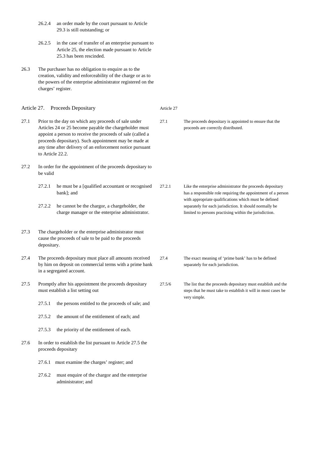- 26.2.4 an order made by the court pursuant to Article 29.3 is still outstanding; or 26.2.5 in the case of transfer of an enterprise pursuant to Article 25, the election made pursuant to Article 25.3 has been rescinded. 26.3 The purchaser has no obligation to enquire as to the creation, validity and enforceability of the charge or as to the powers of the enterprise administrator registered on the charges' register. Article 27. Proceeds Depositary 27.1 Prior to the day on which any proceeds of sale under Articles 24 or 25 become payable the chargeholder must appoint a person to receive the proceeds of sale (called a proceeds depositary). Such appointment may be made at any time after delivery of an enforcement notice pursuant to Article 22.2. 27.2 In order for the appointment of the proceeds depositary to be valid 27.2.1 he must be a [qualified accountant or recognised bank]; and 27.2.2 he cannot be the chargor, a chargeholder, the charge manager or the enterprise administrator. 27.3 The chargeholder or the enterprise administrator must cause the proceeds of sale to be paid to the proceeds depositary. 27.4 The proceeds depositary must place all amounts received by him on deposit on commercial terms with a prime bank in a segregated account. 27.5 Promptly after his appointment the proceeds depositary must establish a list setting out Article 27
	- 27.5.1 the persons entitled to the proceeds of sale; and
	- 27.5.2 the amount of the entitlement of each; and
	- 27.5.3 the priority of the entitlement of each.
- 27.6 In order to establish the list pursuant to Article 27.5 the proceeds depositary
	- 27.6.1 must examine the charges' register; and
	- 27.6.2 must enquire of the chargor and the enterprise administrator; and

27.1 The proceeds depositary is appointed to ensure that the proceeds are correctly distributed.

- 27.2.1 Like the enterprise administrator the proceeds depositary has a responsible role requiring the appointment of a person with appropriate qualifications which must be defined separately for each jurisdiction. It should normally be limited to persons practising within the jurisdiction.
- 27.4 The exact meaning of 'prime bank' has to be defined separately for each jurisdiction.
- 27.5/6 The list that the proceeds depositary must establish and the steps that he must take to establish it will in most cases be very simple.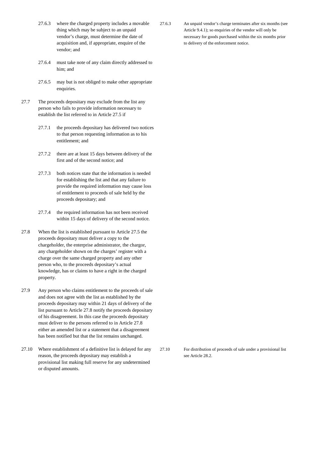- 27.6.3 where the charged property includes a movable thing which may be subject to an unpaid vendor's charge, must determine the date of acquisition and, if appropriate, enquire of the vendor; and
- 27.6.4 must take note of any claim directly addressed to him; and
- 27.6.5 may but is not obliged to make other appropriate enquiries.
- 27.7 The proceeds depositary may exclude from the list any person who fails to provide information necessary to establish the list referred to in Article 27.5 if
	- 27.7.1 the proceeds depositary has delivered two notices to that person requesting information as to his entitlement; and
	- 27.7.2 there are at least 15 days between delivery of the first and of the second notice; and
	- 27.7.3 both notices state that the information is needed for establishing the list and that any failure to provide the required information may cause loss of entitlement to proceeds of sale held by the proceeds depositary; and
	- 27.7.4 the required information has not been received within 15 days of delivery of the second notice.
- 27.8 When the list is established pursuant to Article 27.5 the proceeds depositary must deliver a copy to the chargeholder, the enterprise administrator, the chargor, any chargeholder shown on the charges' register with a charge over the same charged property and any other person who, to the proceeds depositary's actual knowledge, has or claims to have a right in the charged property.
- 27.9 Any person who claims entitlement to the proceeds of sale and does not agree with the list as established by the proceeds depositary may within 21 days of delivery of the list pursuant to Article 27.8 notify the proceeds depositary of his disagreement. In this case the proceeds depositary must deliver to the persons referred to in Article 27.8 either an amended list or a statement that a disagreement has been notified but that the list remains unchanged.
- 27.10 Where establishment of a definitive list is delayed for any reason, the proceeds depositary may establish a provisional list making full reserve for any undetermined or disputed amounts.

27.6.3 An unpaid vendor's charge terminates after six months (see Article 9.4.1); so enquiries of the vendor will only be necessary for goods purchased within the six months prior to delivery of the enforcement notice.

27.10 For distribution of proceeds of sale under a provisional list see Article 28.2.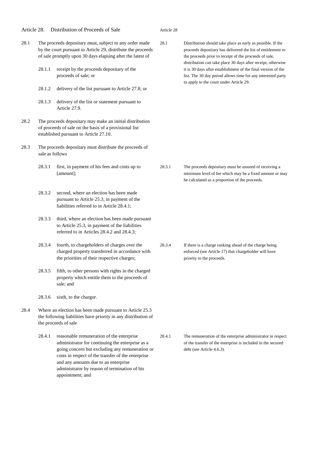| 28.1.1                                                                                                                                                       | receipt by the proceeds depositary of the                                                                                                                                                                                                                                                                           | 28.1                                                                                                                                                                                                          | Distribution should take place as early as possible. If the<br>proceeds depositary has delivered the list of entitlement to<br>the proceeds prior to receipt of the proceeds of sale,<br>distribution can take place 30 days after receipt, otherwise<br>it is 30 days after establishment of the final version of the |
|--------------------------------------------------------------------------------------------------------------------------------------------------------------|---------------------------------------------------------------------------------------------------------------------------------------------------------------------------------------------------------------------------------------------------------------------------------------------------------------------|---------------------------------------------------------------------------------------------------------------------------------------------------------------------------------------------------------------|------------------------------------------------------------------------------------------------------------------------------------------------------------------------------------------------------------------------------------------------------------------------------------------------------------------------|
| 28.1.2                                                                                                                                                       | delivery of the list pursuant to Article 27.8; or                                                                                                                                                                                                                                                                   |                                                                                                                                                                                                               | list. The 30 day period allows time for any interested party<br>to apply to the court under Article 29.                                                                                                                                                                                                                |
| 28.1.3                                                                                                                                                       | delivery of the list or statement pursuant to<br>Article 27.9.                                                                                                                                                                                                                                                      |                                                                                                                                                                                                               |                                                                                                                                                                                                                                                                                                                        |
| The proceeds depositary may make an initial distribution<br>of proceeds of sale on the basis of a provisional list<br>established pursuant to Article 27.10. |                                                                                                                                                                                                                                                                                                                     |                                                                                                                                                                                                               |                                                                                                                                                                                                                                                                                                                        |
| The proceeds depositary must distribute the proceeds of<br>sale as follows                                                                                   |                                                                                                                                                                                                                                                                                                                     |                                                                                                                                                                                                               |                                                                                                                                                                                                                                                                                                                        |
| 28.3.1                                                                                                                                                       | first, in payment of his fees and costs up to<br>[amount];                                                                                                                                                                                                                                                          | 28.3.1                                                                                                                                                                                                        | The proceeds depositary must be assured of receiving a<br>minimum level of fee which may be a fixed amount or may<br>be calculated as a proportion of the proceeds.                                                                                                                                                    |
| 28.3.2                                                                                                                                                       | second, where an election has been made<br>pursuant to Article 25.3, in payment of the<br>liabilities referred to in Article 28.4.1;                                                                                                                                                                                |                                                                                                                                                                                                               |                                                                                                                                                                                                                                                                                                                        |
| 28.3.3                                                                                                                                                       | third, where an election has been made pursuant<br>to Article 25.3, in payment of the liabilities<br>referred to in Articles 28.4.2 and 28.4.3;                                                                                                                                                                     |                                                                                                                                                                                                               |                                                                                                                                                                                                                                                                                                                        |
| 28.3.4                                                                                                                                                       | fourth, to chargeholders of charges over the<br>charged property transferred in accordance with<br>the priorities of their respective charges;                                                                                                                                                                      | 28.3.4                                                                                                                                                                                                        | If there is a charge ranking ahead of the charge being<br>enforced (see Article 17) that chargeholder will have<br>priority to the proceeds.                                                                                                                                                                           |
| 28.3.5                                                                                                                                                       | fifth, to other persons with rights in the charged<br>property which entitle them to the proceeds of<br>sale; and                                                                                                                                                                                                   |                                                                                                                                                                                                               |                                                                                                                                                                                                                                                                                                                        |
| 28.3.6                                                                                                                                                       | sixth, to the chargor.                                                                                                                                                                                                                                                                                              |                                                                                                                                                                                                               |                                                                                                                                                                                                                                                                                                                        |
| Where an election has been made pursuant to Article 25.3<br>the following liabilities have priority in any distribution of<br>the proceeds of sale           |                                                                                                                                                                                                                                                                                                                     |                                                                                                                                                                                                               |                                                                                                                                                                                                                                                                                                                        |
| 28.4.1                                                                                                                                                       | reasonable remuneration of the enterprise<br>administrator for continuing the enterprise as a<br>going concern but excluding any remuneration or<br>costs in respect of the transfer of the enterprise<br>and any amounts due to an enterprise<br>administrator by reason of termination of his<br>appointment; and | 28.4.1                                                                                                                                                                                                        | The remuneration of the enterprise administrator in respect<br>of the transfer of the enterprise is included in the secured<br>debt (see Article 4.6.3).                                                                                                                                                               |
|                                                                                                                                                              |                                                                                                                                                                                                                                                                                                                     | The proceeds depositary must, subject to any order made<br>by the court pursuant to Article 29, distribute the proceeds<br>of sale promptly upon 30 days elapsing after the latest of<br>proceeds of sale; or |                                                                                                                                                                                                                                                                                                                        |

Article 28

Article 28. Distribution of Proceeds of Sale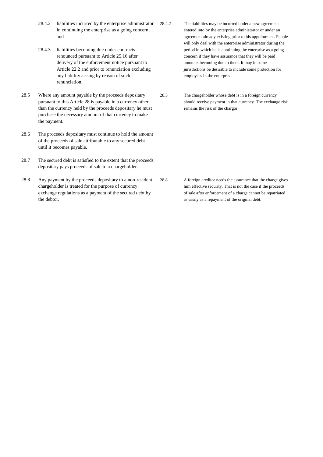- 28.4.2 liabilities incurred by the enterprise administrator in continuing the enterprise as a going concern; and
- 28.4.3 liabilities becoming due under contracts renounced pursuant to Article 25.16 after delivery of the enforcement notice pursuant to Article 22.2 and prior to renunciation excluding any liability arising by reason of such renunciation.
- 28.5 Where any amount payable by the proceeds depositary pursuant to this Article 28 is payable in a currency other than the currency held by the proceeds depositary he must purchase the necessary amount of that currency to make the payment.
- 28.6 The proceeds depositary must continue to hold the amount of the proceeds of sale attributable to any secured debt until it becomes payable.
- 28.7 The secured debt is satisfied to the extent that the proceeds depositary pays proceeds of sale to a chargeholder.
- 28.8 Any payment by the proceeds depositary to a non-resident chargeholder is treated for the purpose of currency exchange regulations as a payment of the secured debt by the debtor.
- 28.4.2 The liabilities may be incurred under a new agreement entered into by the enterprise administrator or under an agreement already existing prior to his appointment. People will only deal with the enterprise administrator during the period in which he is continuing the enterprise as a going concern if they have assurance that they will be paid amounts becoming due to them. It may in some jurisdictions be desirable to include some protection for employees in the enterprise.
- 28.5 The chargeholder whose debt is in a foreign currency should receive payment in that currency. The exchange risk remains the risk of the chargor.

28.8 A foreign creditor needs the assurance that the charge gives him effective security. That is not the case if the proceeds of sale after enforcement of a charge cannot be repatriated as easily as a repayment of the original debt.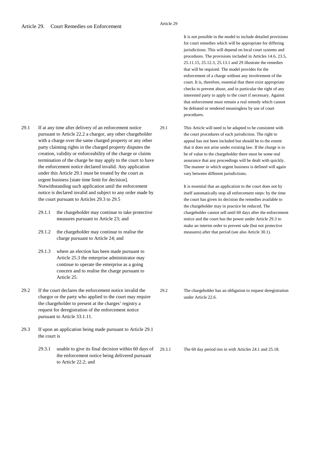It is not possible in the model to include detailed provisions for court remedies which will be appropriate for differing jurisdictions. This will depend on local court systems and procedures. The provisions included in Articles 14.6, 23.5, 25.11.15, 25.12.3, 25.13.1 and 29 illustrate the remedies that will be required. The model provides for the enforcement of a charge without any involvement of the court. It is, therefore, essential that there exist appropriate checks to prevent abuse, and in particular the right of any interested party to apply to the court if necessary. Against that enforcement must remain a real remedy which cannot be defeated or rendered meaningless by use of court procedures.

29.1 This Article will need to be adapted to be consistent with the court procedures of each jurisdiction. The right to appeal has not been included but should be to the extent that it does not arise under existing law. If the charge is to be of value to the chargeholder there must be some real assurance that any proceedings will be dealt with quickly. The manner in which urgent business is defined will again vary between different jurisdictions.

> It is essential that an application to the court does not by itself automatically stop all enforcement steps: by the time the court has given its decision the remedies available to the chargeholder may in practice be reduced. The chargeholder cannot sell until 60 days after the enforcement notice and the court has the power under Article 29.3 to make an interim order to prevent sale (but not protective measures) after that period (see also Article 30.1).

29.2 The chargeholder has an obligation to request deregistration under Article 22.6.

29.3.1 The 60 day period ties in with Articles 24.1 and 25.18.

- 29.1 If at any time after delivery of an enforcement notice pursuant to Article 22.2 a chargor, any other chargeholder with a charge over the same charged property or any other party claiming rights in the charged property disputes the creation, validity or enforceability of the charge or claims termination of the charge he may apply to the court to have the enforcement notice declared invalid. Any application under this Article 29.1 must be treated by the court as urgent business [state time limit for decision]. Notwithstanding such application until the enforcement notice is declared invalid and subject to any order made by the court pursuant to Articles 29.3 to 29.5
	- 29.1.1 the chargeholder may continue to take protective measures pursuant to Article 23; and
	- 29.1.2 the chargeholder may continue to realise the charge pursuant to Article 24; and
	- 29.1.3 where an election has been made pursuant to Article 25.3 the enterprise administrator may continue to operate the enterprise as a going concern and to realise the charge pursuant to Article 25.
- 29.2 If the court declares the enforcement notice invalid the chargor or the party who applied to the court may require the chargeholder to present at the charges' registry a request for deregistration of the enforcement notice pursuant to Article 33.1.11.
- 29.3 If upon an application being made pursuant to Article 29.1 the court is
	- 29.3.1 unable to give its final decision within 60 days of the enforcement notice being delivered pursuant to Article 22.2; and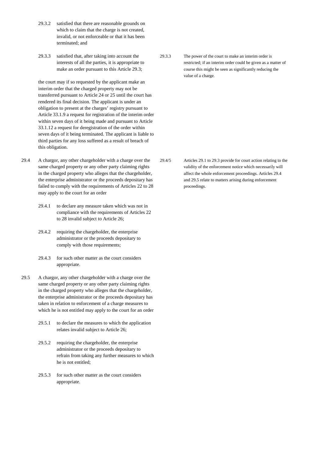- 29.3.2 satisfied that there are reasonable grounds on which to claim that the charge is not created, invalid, or not enforceable or that it has been terminated; and
- 29.3.3 satisfied that, after taking into account the interests of all the parties, it is appropriate to make an order pursuant to this Article 29.3;

the court may if so requested by the applicant make an interim order that the charged property may not be transferred pursuant to Article 24 or 25 until the court has rendered its final decision. The applicant is under an obligation to present at the charges' registry pursuant to Article 33.1.9 a request for registration of the interim order within seven days of it being made and pursuant to Article 33.1.12 a request for deregistration of the order within seven days of it being terminated. The applicant is liable to third parties for any loss suffered as a result of breach of this obligation.

- 29.4 A chargor, any other chargeholder with a charge over the same charged property or any other party claiming rights in the charged property who alleges that the chargeholder, the enterprise administrator or the proceeds depositary has failed to comply with the requirements of Articles 22 to 28 may apply to the court for an order
	- 29.4.1 to declare any measure taken which was not in compliance with the requirements of Articles 22 to 28 invalid subject to Article 26;
	- 29.4.2 requiring the chargeholder, the enterprise administrator or the proceeds depositary to comply with those requirements;
	- 29.4.3 for such other matter as the court considers appropriate.
- 29.5 A chargor, any other chargeholder with a charge over the same charged property or any other party claiming rights in the charged property who alleges that the chargeholder, the enterprise administrator or the proceeds depositary has taken in relation to enforcement of a charge measures to which he is not entitled may apply to the court for an order
	- 29.5.1 to declare the measures to which the application relates invalid subject to Article 26;
	- 29.5.2 requiring the chargeholder, the enterprise administrator or the proceeds depositary to refrain from taking any further measures to which he is not entitled;
	- 29.5.3 for such other matter as the court considers appropriate.

29.3.3 The power of the court to make an interim order is restricted; if an interim order could be given as a matter of course this might be seen as significantly reducing the value of a charge.

29.4/5 Articles 29.1 to 29.3 provide for court action relating to the validity of the enforcement notice which necessarily will affect the whole enforcement proceedings. Articles 29.4 and 29.5 relate to matters arising during enforcement proceedings.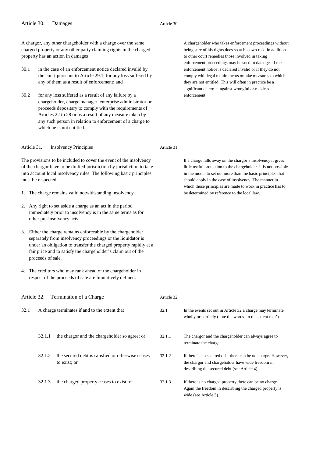A chargor, any other chargeholder with a charge over the same charged property or any other party claiming rights in the charged property has an action in damages

- 30.1 in the case of an enforcement notice declared invalid by the court pursuant to Article 29.1, for any loss suffered by any of them as a result of enforcement; and
- 30.2 for any loss suffered as a result of any failure by a chargeholder, charge manager, enterprise administrator or proceeds depositary to comply with the requirements of Articles 22 to 28 or as a result of any measure taken by any such person in relation to enforcement of a charge to which he is not entitled.

Article 31. Insolvency Principles

The provisions to be included to cover the event of the insolvency of the chargor have to be drafted jurisdiction by jurisdiction to take into account local insolvency rules. The following basic principles must be respected:

- 1. The charge remains valid notwithstanding insolvency.
- 2. Any right to set aside a charge as an act in the period immediately prior to insolvency is in the same terms as for other pre-insolvency acts.
- 3. Either the charge remains enforceable by the chargeholder separately from insolvency proceedings or the liquidator is under an obligation to transfer the charged property rapidly at a fair price and to satisfy the chargeholder's claim out of the proceeds of sale.
- 4. The creditors who may rank ahead of the chargeholder in respect of the proceeds of sale are limitatively defined.

A chargeholder who takes enforcement proceedings without being sure of his rights does so at his own risk. In addition to other court remedies those involved in taking enforcement proceedings may be sued in damages if the enforcement notice is declared invalid or if they do not comply with legal requirements or take measures to which they are not entitled. This will often in practice be a significant deterrent against wrongful or reckless enforcement.

Article 31

If a charge falls away on the chargor's insolvency it gives little useful protection to the chargeholder. It is not possible in the model to set out more than the basic principles that should apply in the case of insolvency. The manner in which those principles are made to work in practice has to be determined by reference to the local law.

| Article 32. |                                               | Termination of a Charge                                           | Article 32 |                                                                                                                                                                   |
|-------------|-----------------------------------------------|-------------------------------------------------------------------|------------|-------------------------------------------------------------------------------------------------------------------------------------------------------------------|
| 32.1        | A charge terminates if and to the extent that |                                                                   | 32.1       | In the events set out in Article 32 a charge may terminate<br>wholly or partially (note the words 'to the extent that').                                          |
|             | 32.1.1                                        | the chargor and the chargeholder so agree; or                     | 32.1.1     | The chargor and the chargeholder can always agree to<br>terminate the charge.                                                                                     |
|             | 32.1.2                                        | the secured debt is satisfied or otherwise ceases<br>to exist; or | 32.1.2     | If there is no secured debt there can be no charge. However,<br>the chargor and chargeholder have wide freedom in<br>describing the secured debt (see Article 4). |
|             | 32.1.3                                        | the charged property ceases to exist; or                          | 32.1.3     | If there is no charged property there can be no charge.<br>Again the freedom in describing the charged property is<br>wide (see Article 5).                       |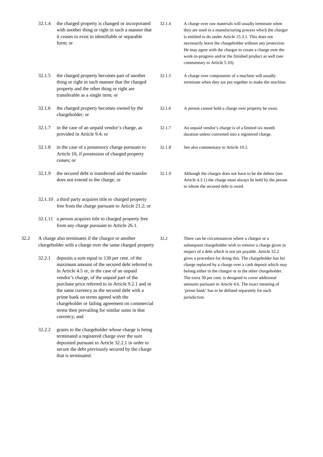|      | 32.1.4 | the charged property is changed or incorporated<br>with another thing or right in such a manner that<br>it ceases to exist in identifiable or separable<br>form; or                                                                                                                                                                                                                                                                           | 32.1.4 | A charge over raw materials will usually terminate when<br>they are used in a manufacturing process which the chargor<br>is entitled to do under Article 15.3.1. This does not<br>necessarily leave the chargeholder without any protection.<br>He may agree with the chargor to create a charge over the<br>work-in-progress and/or the finished product as well (see<br>commentary to Article 5.10). |
|------|--------|-----------------------------------------------------------------------------------------------------------------------------------------------------------------------------------------------------------------------------------------------------------------------------------------------------------------------------------------------------------------------------------------------------------------------------------------------|--------|--------------------------------------------------------------------------------------------------------------------------------------------------------------------------------------------------------------------------------------------------------------------------------------------------------------------------------------------------------------------------------------------------------|
|      | 32.1.5 | the charged property becomes part of another<br>thing or right in such manner that the charged<br>property and the other thing or right are<br>transferable as a single item; or                                                                                                                                                                                                                                                              | 32.1.5 | A charge over components of a machine will usually<br>terminate when they are put together to make the machine.                                                                                                                                                                                                                                                                                        |
|      | 32.1.6 | the charged property becomes owned by the<br>chargeholder; or                                                                                                                                                                                                                                                                                                                                                                                 | 32.1.6 | A person cannot hold a charge over property he owns.                                                                                                                                                                                                                                                                                                                                                   |
|      | 32.1.7 | in the case of an unpaid vendor's charge, as<br>provided in Article 9.4; or                                                                                                                                                                                                                                                                                                                                                                   | 32.1.7 | An unpaid vendor's charge is of a limited six month<br>duration unless converted into a registered charge.                                                                                                                                                                                                                                                                                             |
|      | 32.1.8 | in the case of a possessory charge pursuant to<br>Article 10, if possession of charged property<br>ceases; or                                                                                                                                                                                                                                                                                                                                 | 32.1.8 | See also commentary to Article 10.2.                                                                                                                                                                                                                                                                                                                                                                   |
|      | 32.1.9 | the secured debt is transferred and the transfer<br>does not extend to the charge; or                                                                                                                                                                                                                                                                                                                                                         | 32.1.9 | Although the chargor does not have to be the debtor (see<br>Article 4.3.1) the charge must always be held by the person<br>to whom the secured debt is owed.                                                                                                                                                                                                                                           |
|      |        | 32.1.10 a third party acquires title to charged property<br>free from the charge pursuant to Article 21.2; or                                                                                                                                                                                                                                                                                                                                 |        |                                                                                                                                                                                                                                                                                                                                                                                                        |
|      |        | 32.1.11 a person acquires title to charged property free<br>from any charge pursuant to Article 26.1.                                                                                                                                                                                                                                                                                                                                         |        |                                                                                                                                                                                                                                                                                                                                                                                                        |
| 32.2 |        | A charge also terminates if the chargor or another<br>chargeholder with a charge over the same charged property                                                                                                                                                                                                                                                                                                                               |        | There can be circumstances where a chargor or a<br>subsequent chargeholder wish to remove a charge given in<br>respect of a debt which is not yet payable. Article 32.2                                                                                                                                                                                                                                |
|      | 32.2.1 | deposits a sum equal to 130 per cent. of the<br>maximum amount of the secured debt referred to<br>in Article 4.5 or, in the case of an unpaid<br>vendor's charge, of the unpaid part of the<br>purchase price referred to in Article 9.2.1 and in<br>the same currency as the secured debt with a<br>prime bank on terms agreed with the<br>chargeholder or failing agreement on commercial<br>terms then prevailing for similar sums in that |        | gives a procedure for doing this. The chargeholder has his<br>charge replaced by a charge over a cash deposit which may<br>belong either to the chargor or to the other chargeholder.<br>The extra 30 per cent. is designed to cover additional<br>amounts pursuant to Article 4.6. The exact meaning of<br>'prime bank' has to be defined separately for each<br>jurisdiction.                        |

32.2.2 grants to the chargeholder whose charge is being terminated a registered charge over the sum deposited pursuant to Article 32.2.1 in order to secure the debt previously secured by the charge that is terminated.

currency; and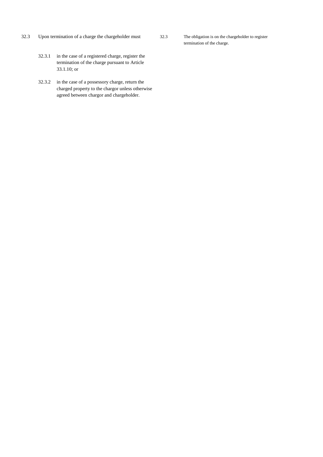32.3 Upon termination of a charge the chargeholder must

- 32.3 The obligation is on the chargeholder to register termination of the charge.
- 32.3.1 in the case of a registered charge, register the termination of the charge pursuant to Article 33.1.10; or
- 32.3.2 in the case of a possessory charge, return the charged property to the chargor unless otherwise agreed between chargor and chargeholder.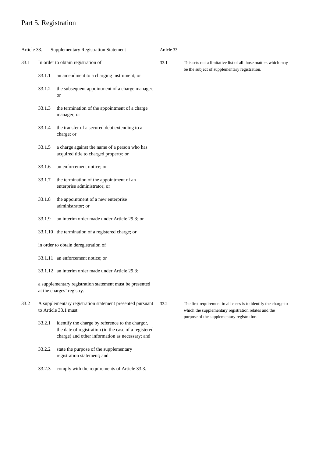## Part 5. Registration

| <b>Supplementary Registration Statement</b><br>Article 33. |                                                                                       | Article 33                                                                                                                                                   |      |                                                                                                                         |
|------------------------------------------------------------|---------------------------------------------------------------------------------------|--------------------------------------------------------------------------------------------------------------------------------------------------------------|------|-------------------------------------------------------------------------------------------------------------------------|
| 33.1                                                       | In order to obtain registration of                                                    |                                                                                                                                                              | 33.1 | This sets out a limitative list of all those matters which may<br>be the subject of supplementary registration.         |
|                                                            | 33.1.1                                                                                | an amendment to a charging instrument; or                                                                                                                    |      |                                                                                                                         |
|                                                            | 33.1.2                                                                                | the subsequent appointment of a charge manager;<br>or                                                                                                        |      |                                                                                                                         |
|                                                            | 33.1.3                                                                                | the termination of the appointment of a charge<br>manager; or                                                                                                |      |                                                                                                                         |
|                                                            | 33.1.4                                                                                | the transfer of a secured debt extending to a<br>charge; or                                                                                                  |      |                                                                                                                         |
|                                                            | 33.1.5                                                                                | a charge against the name of a person who has<br>acquired title to charged property; or                                                                      |      |                                                                                                                         |
|                                                            | 33.1.6                                                                                | an enforcement notice; or                                                                                                                                    |      |                                                                                                                         |
|                                                            | 33.1.7                                                                                | the termination of the appointment of an<br>enterprise administrator; or                                                                                     |      |                                                                                                                         |
|                                                            | 33.1.8                                                                                | the appointment of a new enterprise<br>administrator; or                                                                                                     |      |                                                                                                                         |
|                                                            | 33.1.9                                                                                | an interim order made under Article 29.3; or                                                                                                                 |      |                                                                                                                         |
|                                                            |                                                                                       | 33.1.10 the termination of a registered charge; or                                                                                                           |      |                                                                                                                         |
|                                                            | in order to obtain deregistration of                                                  |                                                                                                                                                              |      |                                                                                                                         |
|                                                            |                                                                                       | 33.1.11 an enforcement notice; or                                                                                                                            |      |                                                                                                                         |
|                                                            |                                                                                       | 33.1.12 an interim order made under Article 29.3;                                                                                                            |      |                                                                                                                         |
|                                                            | a supplementary registration statement must be presented<br>at the charges' registry. |                                                                                                                                                              |      |                                                                                                                         |
| 33.2                                                       | A supplementary registration statement presented pursuant<br>to Article 33.1 must     |                                                                                                                                                              | 33.2 | The first requirement in all cases is to identify the charge to<br>which the supplementary registration relates and the |
|                                                            | 33.2.1                                                                                | identify the charge by reference to the chargor,<br>the date of registration (in the case of a registered<br>charge) and other information as necessary; and |      | purpose of the supplementary registration.                                                                              |
|                                                            | 33.2.2                                                                                | state the purpose of the supplementary<br>registration statement; and                                                                                        |      |                                                                                                                         |
|                                                            | 33.2.3                                                                                | comply with the requirements of Article 33.3.                                                                                                                |      |                                                                                                                         |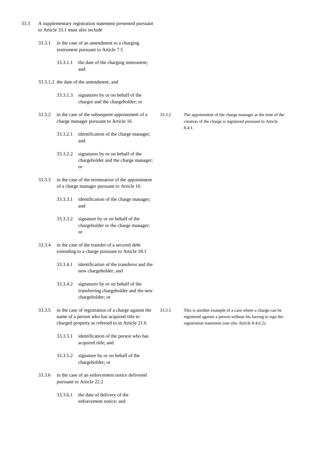- 33.3 A supplementary registration statement presented pursuant to Article 33.1 must also include
	- 33.3.1 in the case of an amendment to a charging instrument pursuant to Article 7.5
		- 33.3.1.1 the date of the charging instrument; and
	- 33.3.1.2 the date of the amendment; and
		- 33.3.1.3 signatures by or on behalf of the chargor and the chargeholder; or
	- 33.3.2 in the case of the subsequent appointment of a charge manager pursuant to Article 16
		- 33.3.2.1 identification of the charge manager; and
		- 33.3.2.2 signatures by or on behalf of the chargeholder and the charge manager; or
	- 33.3.3 in the case of the termination of the appointment of a charge manager pursuant to Article 16
		- 33.3.3.1 identification of the charge manager; and
		- 33.3.3.2 signature by or on behalf of the chargeholder or the charge manager; or
	- 33.3.4 in the case of the transfer of a secured debt extending to a charge pursuant to Article 18.1
		- 33.3.4.1 identification of the transferor and the new chargeholder; and
		- 33.3.4.2 signatures by or on behalf of the transferring chargeholder and the new chargeholder; or
	- 33.3.5 in the case of registration of a charge against the name of a person who has acquired title to charged property as referred to in Article 21.6
		- 33.3.5.1 identification of the person who has acquired title; and
		- 33.3.5.2 signature by or on behalf of the chargeholder; or
	- 33.3.6 in the case of an enforcement notice delivered pursuant to Article 22.2
		- 33.3.6.1 the date of delivery of the enforcement notice; and

33.3.2 The appointment of the charge manager at the time of the creation of the charge is registered pursuant to Article 8.4.1.

33.3.5 This is another example of a case where a charge can be registered against a person without his having to sign the registration statement (see also Article 8.4.6.2).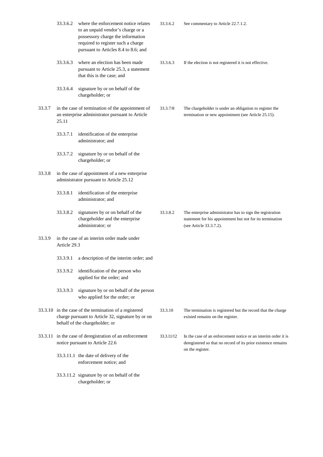|        | 33.3.6.2                                                                                                                                      | where the enforcement notice relates<br>to an unpaid vendor's charge or a<br>possessory charge the information<br>required to register such a charge<br>pursuant to Articles 8.4 to 8.6; and | 33.3.6.2   | See commentary to Article 22.7.1.2.                                                                                                                 |
|--------|-----------------------------------------------------------------------------------------------------------------------------------------------|----------------------------------------------------------------------------------------------------------------------------------------------------------------------------------------------|------------|-----------------------------------------------------------------------------------------------------------------------------------------------------|
|        | 33.3.6.3                                                                                                                                      | where an election has been made<br>pursuant to Article 25.3, a statement<br>that this is the case; and                                                                                       | 33.3.6.3   | If the election is not registered it is not effective.                                                                                              |
|        | 33.3.6.4                                                                                                                                      | signature by or on behalf of the<br>chargeholder; or                                                                                                                                         |            |                                                                                                                                                     |
| 33.3.7 | 25.11                                                                                                                                         | in the case of termination of the appointment of<br>an enterprise administrator pursuant to Article                                                                                          | 33.3.7/8   | The chargeholder is under an obligation to register the<br>termination or new appointment (see Article 25.15).                                      |
|        | 33.3.7.1                                                                                                                                      | identification of the enterprise<br>administrator; and                                                                                                                                       |            |                                                                                                                                                     |
|        | 33.3.7.2                                                                                                                                      | signature by or on behalf of the<br>chargeholder; or                                                                                                                                         |            |                                                                                                                                                     |
| 33.3.8 |                                                                                                                                               | in the case of appointment of a new enterprise<br>administrator pursuant to Article 25.12                                                                                                    |            |                                                                                                                                                     |
|        | 33.3.8.1                                                                                                                                      | identification of the enterprise<br>administrator; and                                                                                                                                       |            |                                                                                                                                                     |
|        | 33.3.8.2                                                                                                                                      | signatures by or on behalf of the<br>chargeholder and the enterprise<br>administrator; or                                                                                                    | 33.3.8.2   | The enterprise administrator has to sign the registration<br>statement for his appointment but not for its termination<br>(see Article 33.3.7.2).   |
| 33.3.9 | Article 29.3                                                                                                                                  | in the case of an interim order made under                                                                                                                                                   |            |                                                                                                                                                     |
|        | 33.3.9.1                                                                                                                                      | a description of the interim order; and                                                                                                                                                      |            |                                                                                                                                                     |
|        | 33.3.9.2                                                                                                                                      | identification of the person who<br>applied for the order; and                                                                                                                               |            |                                                                                                                                                     |
|        | 33.3.9.3                                                                                                                                      | signature by or on behalf of the person<br>who applied for the order; or                                                                                                                     |            |                                                                                                                                                     |
|        | 33.3.10 in the case of the termination of a registered<br>charge pursuant to Article 32, signature by or on<br>behalf of the chargeholder; or |                                                                                                                                                                                              | 33.3.10    | The termination is registered but the record that the charge<br>existed remains on the register.                                                    |
|        |                                                                                                                                               | 33.3.11 in the case of deregistration of an enforcement<br>notice pursuant to Article 22.6                                                                                                   | 33.3.11/12 | In the case of an enforcement notice or an interim order it is<br>deregistered so that no record of its prior existence remains<br>on the register. |
|        |                                                                                                                                               | 33.3.11.1 the date of delivery of the<br>enforcement notice; and                                                                                                                             |            |                                                                                                                                                     |
|        |                                                                                                                                               | 33.3.11.2 signature by or on behalf of the<br>chargeholder; or                                                                                                                               |            |                                                                                                                                                     |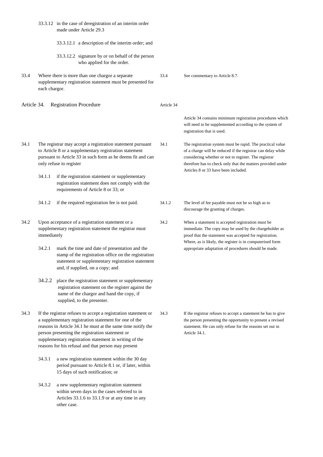|                                              |                                                                                                                                                                                                                                                                                                                                                            | 33.3.12 in the case of deregistration of an interim order<br>made under Article 29.3                                                                                                            |        |                                                                                                                                                                                                                                                                                            |
|----------------------------------------------|------------------------------------------------------------------------------------------------------------------------------------------------------------------------------------------------------------------------------------------------------------------------------------------------------------------------------------------------------------|-------------------------------------------------------------------------------------------------------------------------------------------------------------------------------------------------|--------|--------------------------------------------------------------------------------------------------------------------------------------------------------------------------------------------------------------------------------------------------------------------------------------------|
|                                              |                                                                                                                                                                                                                                                                                                                                                            | 33.3.12.1 a description of the interim order; and                                                                                                                                               |        |                                                                                                                                                                                                                                                                                            |
|                                              |                                                                                                                                                                                                                                                                                                                                                            | 33.3.12.2 signature by or on behalf of the person<br>who applied for the order.                                                                                                                 |        |                                                                                                                                                                                                                                                                                            |
| 33.4                                         | each chargor.                                                                                                                                                                                                                                                                                                                                              | Where there is more than one chargor a separate<br>supplementary registration statement must be presented for                                                                                   | 33.4   | See commentary to Article 8.7.                                                                                                                                                                                                                                                             |
| <b>Registration Procedure</b><br>Article 34. |                                                                                                                                                                                                                                                                                                                                                            | Article 34                                                                                                                                                                                      |        |                                                                                                                                                                                                                                                                                            |
|                                              |                                                                                                                                                                                                                                                                                                                                                            |                                                                                                                                                                                                 |        | Article 34 contains minimum registration procedures which<br>will need to be supplemented according to the system of<br>registration that is used.                                                                                                                                         |
| 34.1                                         | The registrar may accept a registration statement pursuant<br>to Article 8 or a supplementary registration statement<br>pursuant to Article 33 in such form as he deems fit and can<br>only refuse to register                                                                                                                                             |                                                                                                                                                                                                 | 34.1   | The registration system must be rapid. The practical value<br>of a charge will be reduced if the registrar can delay while<br>considering whether or not to register. The registrar<br>therefore has to check only that the matters provided under<br>Articles 8 or 33 have been included. |
|                                              | 34.1.1                                                                                                                                                                                                                                                                                                                                                     | if the registration statement or supplementary<br>registration statement does not comply with the<br>requirements of Article 8 or 33; or                                                        |        |                                                                                                                                                                                                                                                                                            |
|                                              | 34.1.2                                                                                                                                                                                                                                                                                                                                                     | if the required registration fee is not paid.                                                                                                                                                   | 34.1.2 | The level of fee payable must not be so high as to<br>discourage the granting of charges.                                                                                                                                                                                                  |
| 34.2                                         | Upon acceptance of a registration statement or a<br>supplementary registration statement the registrar must<br>immediately                                                                                                                                                                                                                                 |                                                                                                                                                                                                 | 34.2   | When a statement is accepted registration must be<br>immediate. The copy may be used by the chargeholder as<br>proof that the statement was accepted for registration.<br>Where, as is likely, the register is in computerised form                                                        |
|                                              | 34.2.1                                                                                                                                                                                                                                                                                                                                                     | mark the time and date of presentation and the<br>stamp of the registration office on the registration<br>statement or supplementary registration statement<br>and, if supplied, on a copy; and |        | appropriate adaptation of procedures should be made.                                                                                                                                                                                                                                       |
|                                              | 34.2.2                                                                                                                                                                                                                                                                                                                                                     | place the registration statement or supplementary<br>registration statement on the register against the<br>name of the chargor and hand the copy, if<br>supplied, to the presenter.             |        |                                                                                                                                                                                                                                                                                            |
| 34.3                                         | If the registrar refuses to accept a registration statement or<br>a supplementary registration statement for one of the<br>reasons in Article 34.1 he must at the same time notify the<br>person presenting the registration statement or<br>supplementary registration statement in writing of the<br>reasons for his refusal and that person may present |                                                                                                                                                                                                 | 34.3   | If the registrar refuses to accept a statement he has to give<br>the person presenting the opportunity to present a revised<br>statement. He can only refuse for the reasons set out in<br>Article 34.1.                                                                                   |
|                                              | 34.3.1                                                                                                                                                                                                                                                                                                                                                     | a new registration statement within the 30 day<br>period pursuant to Article 8.1 or, if later, within<br>15 days of such notification; or                                                       |        |                                                                                                                                                                                                                                                                                            |
|                                              | 34.3.2                                                                                                                                                                                                                                                                                                                                                     | a new supplementary registration statement<br>within seven days in the cases referred to in<br>Articles 33.1.6 to 33.1.9 or at any time in any<br>other case.                                   |        |                                                                                                                                                                                                                                                                                            |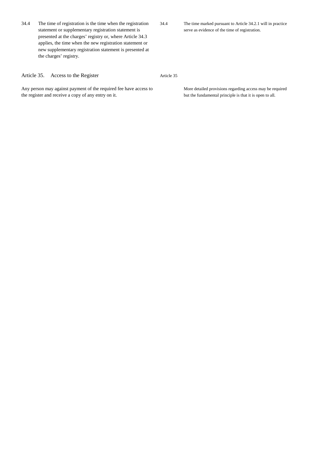34.4 The time of registration is the time when the registration statement or supplementary registration statement is presented at the charges' registry or, where Article 34.3 applies, the time when the new registration statement or new supplementary registration statement is presented at the charges' registry.

34.4 The time marked pursuant to Article 34.2.1 will in practice serve as evidence of the time of registration.

Article 35

#### Article 35. Access to the Register

Any person may against payment of the required fee have access to the register and receive a copy of any entry on it.

More detailed provisions regarding access may be required but the fundamental principle is that it is open to all.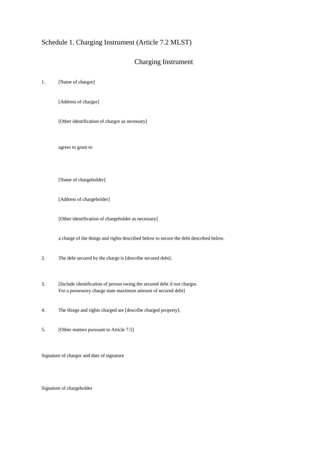## Schedule 1. Charging Instrument (Article 7.2 MLST)

#### Charging Instrument

1. [Name of chargor]

[Address of chargor]

[Other identification of chargor as necessary]

agrees to grant to

[Name of chargeholder]

[Address of chargeholder]

[Other identification of chargeholder as necessary]

a charge of the things and rights described below to secure the debt described below.

- 2. The debt secured by the charge is [describe secured debt].
- 3. [Include identification of person owing the secured debt if not chargor. For a possessory charge state maximum amount of secured debt]
- 4. The things and rights charged are [describe charged property].
- 5. [Other matters pursuant to Article 7.5]

Signature of chargor and date of signature

Signature of chargeholder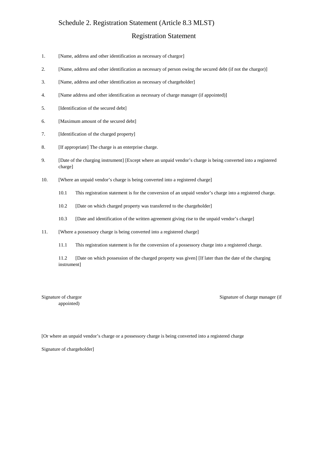#### Schedule 2. Registration Statement (Article 8.3 MLST)

#### Registration Statement

- 1. [Name, address and other identification as necessary of chargor]
- 2. [Name, address and other identification as necessary of person owing the secured debt (if not the chargor)]
- 3. [Name, address and other identification as necessary of chargeholder]
- 4. [Name address and other identification as necessary of charge manager (if appointed)]
- 5. [Identification of the secured debt]
- 6. [Maximum amount of the secured debt]
- 7. [Identification of the charged property]
- 8. [If appropriate] The charge is an enterprise charge.
- 9. [Date of the charging instrument] [Except where an unpaid vendor's charge is being converted into a registered charge]
- 10. [Where an unpaid vendor's charge is being converted into a registered charge]
	- 10.1 This registration statement is for the conversion of an unpaid vendor's charge into a registered charge.
	- 10.2 [Date on which charged property was transferred to the chargeholder]
	- 10.3 [Date and identification of the written agreement giving rise to the unpaid vendor's charge]
- 11. [Where a possessory charge is being converted into a registered charge]
	- 11.1 This registration statement is for the conversion of a possessory charge into a registered charge.

11.2 [Date on which possession of the charged property was given] [If later than the date of the charging instrument]

appointed)

Signature of chargor Signature of chargor Signature of chargor Signature of chargor Signature of chargor Signature of chargor  $\frac{1}{2}$ 

[Or where an unpaid vendor's charge or a possessory charge is being converted into a registered charge

Signature of chargeholder]